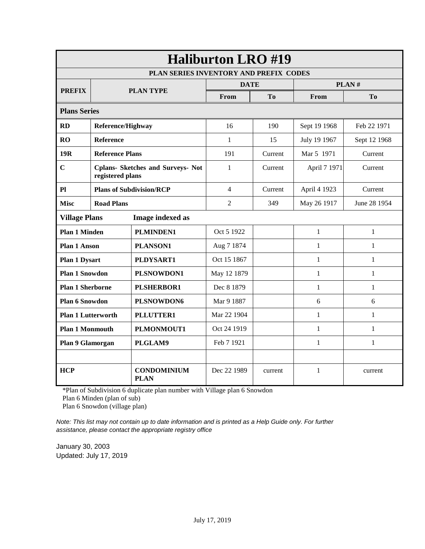|                           | <b>Haliburton LRO #19</b>                                    |                                        |                |                |              |                |  |
|---------------------------|--------------------------------------------------------------|----------------------------------------|----------------|----------------|--------------|----------------|--|
|                           |                                                              | PLAN SERIES INVENTORY AND PREFIX CODES |                |                |              |                |  |
| <b>PREFIX</b>             | <b>PLAN TYPE</b>                                             |                                        | <b>DATE</b>    |                |              | PLAN#          |  |
|                           |                                                              |                                        | From           | T <sub>0</sub> | From         | T <sub>0</sub> |  |
|                           | <b>Plans Series</b>                                          |                                        |                |                |              |                |  |
| <b>RD</b>                 | Reference/Highway                                            |                                        | 16             | 190            | Sept 19 1968 | Feb 22 1971    |  |
| RO                        | <b>Reference</b>                                             |                                        | $\mathbf{1}$   | 15             | July 19 1967 | Sept 12 1968   |  |
| 19 <sub>R</sub>           | <b>Reference Plans</b>                                       |                                        | 191            | Current        | Mar 5 1971   | Current        |  |
| $\overline{C}$            | <b>Cplans- Sketches and Surveys- Not</b><br>registered plans |                                        | 1              | Current        | April 7 1971 | Current        |  |
| Pl                        | <b>Plans of Subdivision/RCP</b>                              |                                        | 4              | Current        | April 4 1923 | Current        |  |
| <b>Misc</b>               | <b>Road Plans</b>                                            |                                        | $\overline{2}$ | 349            | May 26 1917  | June 28 1954   |  |
| <b>Village Plans</b>      |                                                              | Image indexed as                       |                |                |              |                |  |
| <b>Plan 1 Minden</b>      |                                                              | <b>PLMINDEN1</b>                       | Oct 5 1922     |                | $\mathbf{1}$ | $\mathbf{1}$   |  |
| <b>Plan 1 Anson</b>       |                                                              | PLANSON1                               | Aug 7 1874     |                | $\mathbf{1}$ | $\mathbf{1}$   |  |
| <b>Plan 1 Dysart</b>      |                                                              | PLDYSART1                              | Oct 15 1867    |                | $\mathbf{1}$ | $\mathbf{1}$   |  |
| <b>Plan 1 Snowdon</b>     |                                                              | PLSNOWDON1                             | May 12 1879    |                | 1            | $\mathbf{1}$   |  |
| <b>Plan 1 Sherborne</b>   |                                                              | <b>PLSHERBOR1</b>                      | Dec 8 1879     |                | 1            | $\mathbf{1}$   |  |
| <b>Plan 6 Snowdon</b>     |                                                              | PLSNOWDON6                             | Mar 9 1887     |                | 6            | 6              |  |
| <b>Plan 1 Lutterworth</b> |                                                              | PLLUTTER1                              | Mar 22 1904    |                | 1            | $\mathbf{1}$   |  |
|                           | PLMONMOUT1<br><b>Plan 1 Monmouth</b>                         |                                        | Oct 24 1919    |                | $\mathbf{1}$ | $\mathbf{1}$   |  |
| Plan 9 Glamorgan          |                                                              | PLGLAM9                                | Feb 7 1921     |                | $\mathbf{1}$ | $\mathbf{1}$   |  |
|                           |                                                              |                                        |                |                |              |                |  |
| <b>HCP</b>                |                                                              | <b>CONDOMINIUM</b><br><b>PLAN</b>      | Dec 22 1989    | current        | $\mathbf{1}$ | current        |  |

\*Plan of Subdivision 6 duplicate plan number with Village plan 6 Snowdon

Plan 6 Minden (plan of sub)

Plan 6 Snowdon (village plan)

*Note: This list may not contain up to date information and is printed as a Help Guide only. For further assistance, please contact the appropriate registry office* 

January 30, 2003 Updated: July 17, 2019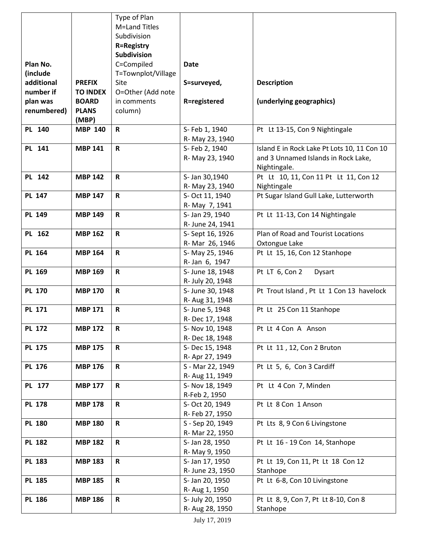|               |                 | Type of Plan       |                                   |                                             |
|---------------|-----------------|--------------------|-----------------------------------|---------------------------------------------|
|               |                 | M=Land Titles      |                                   |                                             |
|               |                 | Subdivision        |                                   |                                             |
|               |                 | <b>R=Registry</b>  |                                   |                                             |
|               |                 | Subdivision        |                                   |                                             |
| Plan No.      |                 | C=Compiled         | <b>Date</b>                       |                                             |
| (include      |                 | T=Townplot/Village |                                   |                                             |
| additional    | <b>PREFIX</b>   | Site               | S=surveyed,                       | <b>Description</b>                          |
| number if     | <b>TO INDEX</b> | O=Other (Add note  |                                   |                                             |
| plan was      | <b>BOARD</b>    | in comments        | R=registered                      | (underlying geographics)                    |
| renumbered)   | <b>PLANS</b>    | column)            |                                   |                                             |
|               | (MBP)           |                    |                                   |                                             |
| PL 140        | <b>MBP 140</b>  | $\mathbf R$        | S- Feb 1, 1940                    | Pt Lt 13-15, Con 9 Nightingale              |
|               |                 |                    | R- May 23, 1940                   |                                             |
| PL 141        | <b>MBP 141</b>  | $\mathsf{R}$       | S- Feb 2, 1940                    | Island E in Rock Lake Pt Lots 10, 11 Con 10 |
|               |                 |                    | R- May 23, 1940                   | and 3 Unnamed Islands in Rock Lake,         |
|               |                 |                    |                                   | Nightingale.                                |
| PL 142        | <b>MBP 142</b>  | $\mathbf R$        | S- Jan 30,1940                    | Pt Lt 10, 11, Con 11 Pt Lt 11, Con 12       |
|               |                 |                    | R- May 23, 1940                   | Nightingale                                 |
| <b>PL 147</b> | <b>MBP 147</b>  | R                  | S- Oct 11, 1940                   | Pt Sugar Island Gull Lake, Lutterworth      |
|               |                 |                    | R- May 7, 1941                    |                                             |
| <b>PL 149</b> | <b>MBP 149</b>  | $\mathbf R$        | S- Jan 29, 1940                   | Pt Lt 11-13, Con 14 Nightingale             |
|               |                 |                    | R- June 24, 1941                  |                                             |
| PL 162        | <b>MBP 162</b>  | $\mathbf R$        | S-Sept 16, 1926                   | Plan of Road and Tourist Locations          |
|               |                 |                    | R- Mar 26, 1946                   | Oxtongue Lake                               |
| <b>PL 164</b> | <b>MBP 164</b>  | $\mathsf{R}$       | S- May 25, 1946                   | Pt Lt 15, 16, Con 12 Stanhope               |
|               |                 |                    | R-Jan 6, 1947                     |                                             |
| PL 169        | <b>MBP 169</b>  | $\mathbf R$        | S- June 18, 1948                  | Pt LT 6, Con 2<br>Dysart                    |
|               |                 |                    | R- July 20, 1948                  |                                             |
| <b>PL 170</b> | <b>MBP 170</b>  | $\mathbf R$        | S- June 30, 1948                  | Pt Trout Island, Pt Lt 1 Con 13 havelock    |
| <b>PL 171</b> | <b>MBP 171</b>  | $\mathbf R$        | R- Aug 31, 1948                   | Pt Lt 25 Con 11 Stanhope                    |
|               |                 |                    | S- June 5, 1948<br>R-Dec 17, 1948 |                                             |
| <b>PL 172</b> | <b>MBP 172</b>  | $\mathbf R$        | S- Nov 10, 1948                   | Pt Lt 4 Con A Anson                         |
|               |                 |                    | R-Dec 18, 1948                    |                                             |
| <b>PL 175</b> | <b>MBP 175</b>  | $\mathbf R$        | S-Dec 15, 1948                    | Pt Lt 11, 12, Con 2 Bruton                  |
|               |                 |                    | R- Apr 27, 1949                   |                                             |
| PL 176        | <b>MBP 176</b>  | $\mathbf R$        | S - Mar 22, 1949                  | Pt Lt 5, 6, Con 3 Cardiff                   |
|               |                 |                    | R- Aug 11, 1949                   |                                             |
| PL 177        | <b>MBP 177</b>  | R                  | S- Nov 18, 1949                   | Pt Lt 4 Con 7, Minden                       |
|               |                 |                    | R-Feb 2, 1950                     |                                             |
| <b>PL 178</b> | <b>MBP 178</b>  | $\mathbf R$        | S- Oct 20, 1949                   | Pt Lt 8 Con 1 Anson                         |
|               |                 |                    | R- Feb 27, 1950                   |                                             |
| <b>PL 180</b> | <b>MBP 180</b>  | $\mathsf{R}$       | S - Sep 20, 1949                  | Pt Lts 8, 9 Con 6 Livingstone               |
|               |                 |                    | R- Mar 22, 1950                   |                                             |
| <b>PL 182</b> | <b>MBP 182</b>  | R                  | S- Jan 28, 1950                   | Pt Lt 16 - 19 Con 14, Stanhope              |
|               |                 |                    | R- May 9, 1950                    |                                             |
| <b>PL 183</b> | <b>MBP 183</b>  | $\mathbf R$        | S- Jan 17, 1950                   | Pt Lt 19, Con 11, Pt Lt 18 Con 12           |
|               |                 |                    | R- June 23, 1950                  | Stanhope                                    |
| <b>PL 185</b> | <b>MBP 185</b>  | $\mathsf{R}$       | S- Jan 20, 1950                   | Pt Lt 6-8, Con 10 Livingstone               |
|               |                 |                    | R- Aug 1, 1950                    |                                             |
| <b>PL 186</b> | <b>MBP 186</b>  | $\mathbf R$        | S- July 20, 1950                  | Pt Lt 8, 9, Con 7, Pt Lt 8-10, Con 8        |
|               |                 |                    | R- Aug 28, 1950                   | Stanhope                                    |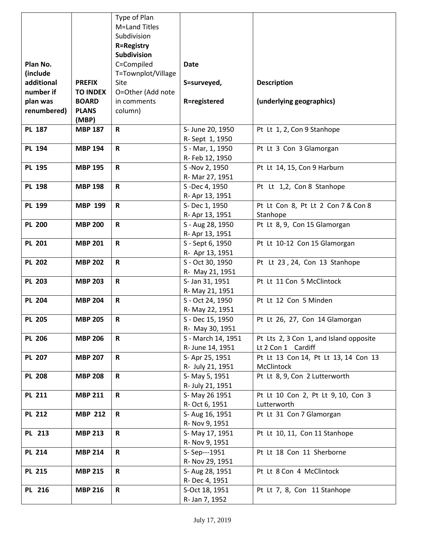|               |                 | Type of Plan       |                                     |                                        |
|---------------|-----------------|--------------------|-------------------------------------|----------------------------------------|
|               |                 | M=Land Titles      |                                     |                                        |
|               |                 | Subdivision        |                                     |                                        |
|               |                 | <b>R=Registry</b>  |                                     |                                        |
|               |                 | <b>Subdivision</b> |                                     |                                        |
| Plan No.      |                 | C=Compiled         | <b>Date</b>                         |                                        |
| (include      |                 | T=Townplot/Village |                                     |                                        |
| additional    | <b>PREFIX</b>   | Site               | S=surveyed,                         | <b>Description</b>                     |
| number if     | <b>TO INDEX</b> | O=Other (Add note  |                                     |                                        |
| plan was      | <b>BOARD</b>    | in comments        | R=registered                        | (underlying geographics)               |
| renumbered)   | <b>PLANS</b>    | column)            |                                     |                                        |
|               | (MBP)           |                    |                                     |                                        |
| <b>PL 187</b> | <b>MBP 187</b>  | $\mathbf R$        | S- June 20, 1950                    | Pt Lt 1, 2, Con 9 Stanhope             |
|               |                 |                    | R-Sept 1, 1950                      |                                        |
| <b>PL 194</b> | <b>MBP 194</b>  | $\mathsf{R}$       | S - Mar, 1, 1950                    | Pt Lt 3 Con 3 Glamorgan                |
|               |                 |                    | R- Feb 12, 1950                     |                                        |
| <b>PL 195</b> | <b>MBP 195</b>  | $\mathsf{R}$       | S-Nov 2, 1950                       | Pt Lt 14, 15, Con 9 Harburn            |
|               |                 |                    | R- Mar 27, 1951                     |                                        |
| <b>PL 198</b> | <b>MBP 198</b>  | $\mathbf R$        | S-Dec 4, 1950                       | Pt Lt 1,2, Con 8 Stanhope              |
|               |                 |                    | R- Apr 13, 1951                     |                                        |
| <b>PL 199</b> | <b>MBP 199</b>  | R                  | S-Dec 1, 1950                       | Pt Lt Con 8, Pt Lt 2 Con 7 & Con 8     |
|               |                 |                    | R- Apr 13, 1951                     | Stanhope                               |
| <b>PL 200</b> | <b>MBP 200</b>  | $\mathbf R$        | S - Aug 28, 1950                    | Pt Lt 8, 9, Con 15 Glamorgan           |
|               |                 |                    | R- Apr 13, 1951                     |                                        |
| <b>PL 201</b> | <b>MBP 201</b>  | $\mathbf R$        | S - Sept 6, 1950                    | Pt Lt 10-12 Con 15 Glamorgan           |
|               |                 |                    | R- Apr 13, 1951                     |                                        |
| <b>PL 202</b> | <b>MBP 202</b>  | $\mathsf R$        | S - Oct 30, 1950                    | Pt Lt 23, 24, Con 13 Stanhope          |
| <b>PL 203</b> | <b>MBP 203</b>  | $\mathbf R$        | R- May 21, 1951                     | Pt Lt 11 Con 5 McClintock              |
|               |                 |                    | S- Jan 31, 1951                     |                                        |
| <b>PL 204</b> | <b>MBP 204</b>  | $\mathbf R$        | R- May 21, 1951<br>S - Oct 24, 1950 | Pt Lt 12 Con 5 Minden                  |
|               |                 |                    | R- May 22, 1951                     |                                        |
| <b>PL 205</b> | <b>MBP 205</b>  | $\mathbf R$        | S - Dec 15, 1950                    | Pt Lt 26, 27, Con 14 Glamorgan         |
|               |                 |                    | R- May 30, 1951                     |                                        |
| <b>PL 206</b> | <b>MBP 206</b>  | R                  | S - March 14, 1951                  | Pt Lts 2, 3 Con 1, and Island opposite |
|               |                 |                    | R- June 14, 1951                    | Lt 2 Con 1 Cardiff                     |
| <b>PL 207</b> | <b>MBP 207</b>  | $\mathbf R$        | S- Apr 25, 1951                     | Pt Lt 13 Con 14, Pt Lt 13, 14 Con 13   |
|               |                 |                    | R- July 21, 1951                    | McClintock                             |
| <b>PL 208</b> | <b>MBP 208</b>  | R                  | S-May 5, 1951                       | Pt Lt 8, 9, Con 2 Lutterworth          |
|               |                 |                    | R- July 21, 1951                    |                                        |
| <b>PL 211</b> | <b>MBP 211</b>  | $\mathbf R$        | S-May 26 1951                       | Pt Lt 10 Con 2, Pt Lt 9, 10, Con 3     |
|               |                 |                    | R- Oct 6, 1951                      | Lutterworth                            |
| <b>PL 212</b> | <b>MBP 212</b>  | $\mathbf R$        | S- Aug 16, 1951                     | Pt Lt 31 Con 7 Glamorgan               |
|               |                 |                    | R- Nov 9, 1951                      |                                        |
| PL 213        | <b>MBP 213</b>  | $\mathbf R$        | S-May 17, 1951                      | Pt Lt 10, 11, Con 11 Stanhope          |
|               |                 |                    | R- Nov 9, 1951                      |                                        |
| <b>PL 214</b> | <b>MBP 214</b>  | $\mathbf R$        | S-Sep---1951                        | Pt Lt 18 Con 11 Sherborne              |
|               |                 |                    | R- Nov 29, 1951                     |                                        |
| <b>PL 215</b> | <b>MBP 215</b>  | $\mathbf R$        | S- Aug 28, 1951                     | Pt Lt 8 Con 4 McClintock               |
|               |                 |                    | R- Dec 4, 1951                      |                                        |
| PL 216        | <b>MBP 216</b>  | R                  | S-Oct 18, 1951                      | Pt Lt 7, 8, Con 11 Stanhope            |
|               |                 |                    | R- Jan 7, 1952                      |                                        |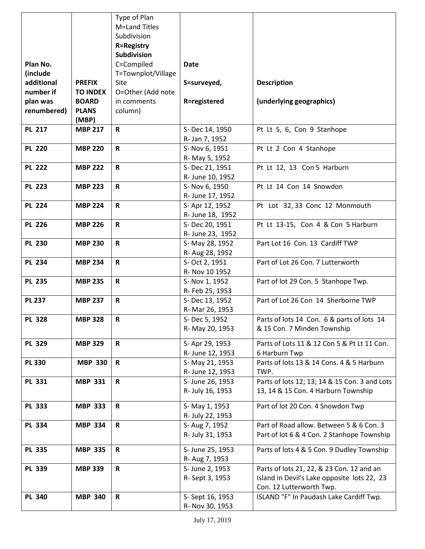|               |                 | Type of Plan       |                  |                                               |
|---------------|-----------------|--------------------|------------------|-----------------------------------------------|
|               |                 | M=Land Titles      |                  |                                               |
|               |                 | Subdivision        |                  |                                               |
|               |                 | <b>R=Registry</b>  |                  |                                               |
|               |                 | <b>Subdivision</b> |                  |                                               |
| Plan No.      |                 | C=Compiled         | <b>Date</b>      |                                               |
| (include      |                 | T=Townplot/Village |                  |                                               |
| additional    | <b>PREFIX</b>   | Site               | S=surveyed,      | <b>Description</b>                            |
| number if     | <b>TO INDEX</b> | O=Other (Add note  |                  |                                               |
| plan was      | <b>BOARD</b>    | in comments        | R=registered     | (underlying geographics)                      |
| renumbered)   | <b>PLANS</b>    | column)            |                  |                                               |
|               | (MBP)           |                    |                  |                                               |
| <b>PL 217</b> | <b>MBP 217</b>  | $\mathsf R$        | S-Dec 14, 1950   | Pt Lt 5, 6, Con 9 Stanhope                    |
|               |                 |                    | R- Jan 7, 1952   |                                               |
| <b>PL 220</b> | <b>MBP 220</b>  | $\mathbf R$        | S- Nov 6, 1951   | Pt Lt 2 Con 4 Stanhope                        |
|               |                 |                    | R- May 5, 1952   |                                               |
| <b>PL 222</b> | <b>MBP 222</b>  | $\mathbf R$        | S-Dec 21, 1951   | Pt Lt 12, 13 Con 5 Harburn                    |
|               |                 |                    | R- June 10, 1952 |                                               |
| <b>PL 223</b> | <b>MBP 223</b>  | $\mathbf R$        | S- Nov 6, 1950   | Pt Lt 14 Con 14 Snowdon                       |
|               |                 |                    | R- June 17, 1952 |                                               |
| <b>PL 224</b> | <b>MBP 224</b>  | $\mathbf R$        | S-Apr 12, 1952   | Pt Lot 32, 33 Conc 12 Monmouth                |
|               |                 |                    | R- June 18, 1952 |                                               |
| <b>PL 226</b> | <b>MBP 226</b>  | $\mathbf R$        | S-Dec 20, 1951   | Pt Lt 13-15, Con 4 & Con 5 Harburn            |
|               |                 |                    | R- June 23, 1952 |                                               |
| <b>PL 230</b> | <b>MBP 230</b>  | $\mathbf R$        | S- May 28, 1952  | Part Lot 16 Con. 13 Cardiff TWP               |
|               |                 |                    | R- Aug 28, 1952  |                                               |
| <b>PL 234</b> | <b>MBP 234</b>  | $\mathbf R$        | S- Oct 2, 1951   | Part of Lot 26 Con. 7 Lutterworth             |
|               |                 |                    | R- Nov 10 1952   |                                               |
| <b>PL 235</b> | <b>MBP 235</b>  | $\mathbf R$        | S- Nov 1, 1952   | Part of lot 29 Con. 5 Stanhope Twp.           |
|               |                 |                    | R- Feb 25, 1953  |                                               |
| <b>PL 237</b> | <b>MBP 237</b>  | $\mathbf R$        | S-Dec 13, 1952   | Part of Lot 26 Con 14 Sherborne TWP           |
|               |                 |                    | R- Mar 26, 1953  |                                               |
| <b>PL 328</b> | <b>MBP 328</b>  | $\mathbf R$        | S-Dec 5, 1952    | Parts of lots 14 Con. 6 & parts of lots 14    |
|               |                 |                    | R- May 20, 1953  | & 15 Con. 7 Minden Township                   |
|               |                 |                    |                  |                                               |
| <b>PL 329</b> | <b>MBP 329</b>  | R                  | S- Apr 29, 1953  | Parts of Lots 11 & 12 Con 5 & Pt Lt 11 Con.   |
|               |                 |                    | R- June 12, 1953 | 6 Harburn Twp                                 |
| <b>PL 330</b> | <b>MBP 330</b>  | $\mathbf R$        | S- May 21, 1953  | Parts of lots 13 & 14 Cons. 4 & 5 Harburn     |
|               |                 |                    | R- June 12, 1953 | TWP.                                          |
| <b>PL 331</b> | <b>MBP 331</b>  | $\mathbf R$        | S- June 26, 1953 | Parts of lots 12; 13; 14 & 15 Con. 3 and Lots |
|               |                 |                    | R- July 16, 1953 | 13, 14 & 15 Con. 4 Harburn Township           |
| <b>PL 333</b> | <b>MBP 333</b>  | $\mathbf R$        | S-May 1, 1953    | Part of lot 20 Con. 4 Snowdon Twp             |
|               |                 |                    | R- July 22, 1953 |                                               |
| <b>PL 334</b> | <b>MBP 334</b>  | $\mathbf R$        | S- Aug 7, 1952   | Part of Road allow. Between 5 & 6 Con. 3      |
|               |                 |                    | R- July 31, 1953 | Part of lot 6 & 4 Con. 2 Stanhope Township    |
|               |                 |                    |                  |                                               |
| <b>PL 335</b> | <b>MBP 335</b>  | $\mathbf R$        | S- June 25, 1953 | Parts of lots 4 & 5 Con. 9 Dudley Township    |
|               |                 |                    | R- Aug 7, 1953   |                                               |
| <b>PL 339</b> | <b>MBP 339</b>  | R                  | S- June 2, 1953  | Parts of lots 21, 22, & 23 Con. 12 and an     |
|               |                 |                    | R-Sept 3, 1953   | Island in Devil's Lake opposite lots 22, 23   |
|               |                 |                    |                  | Con. 12 Lutterworth Twp.                      |
| <b>PL 340</b> | <b>MBP 340</b>  | R                  | S- Sept 16, 1953 | ISLAND "F" In Paudash Lake Cardiff Twp.       |
|               |                 |                    | R- Nov 30, 1953  |                                               |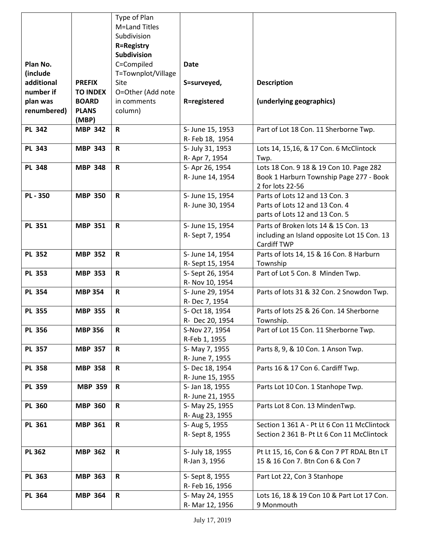|               |                 | Type of Plan       |                  |                                             |
|---------------|-----------------|--------------------|------------------|---------------------------------------------|
|               |                 | M=Land Titles      |                  |                                             |
|               |                 | Subdivision        |                  |                                             |
|               |                 | <b>R=Registry</b>  |                  |                                             |
|               |                 | <b>Subdivision</b> |                  |                                             |
| Plan No.      |                 | C=Compiled         | <b>Date</b>      |                                             |
| (include      |                 | T=Townplot/Village |                  |                                             |
| additional    | <b>PREFIX</b>   | Site               | S=surveyed,      | <b>Description</b>                          |
| number if     | <b>TO INDEX</b> | O=Other (Add note  |                  |                                             |
| plan was      | <b>BOARD</b>    | in comments        | R=registered     | (underlying geographics)                    |
| renumbered)   | <b>PLANS</b>    | column)            |                  |                                             |
|               | (MBP)           |                    |                  |                                             |
| <b>PL 342</b> | <b>MBP 342</b>  | $\mathsf R$        | S- June 15, 1953 | Part of Lot 18 Con. 11 Sherborne Twp.       |
|               |                 |                    | R- Feb 18, 1954  |                                             |
| <b>PL 343</b> | <b>MBP 343</b>  | $\mathsf R$        | S- July 31, 1953 | Lots 14, 15,16, & 17 Con. 6 McClintock      |
|               |                 |                    | R- Apr 7, 1954   | Twp.                                        |
| <b>PL 348</b> | <b>MBP 348</b>  | $\mathsf R$        | S- Apr 26, 1954  | Lots 18 Con. 9 18 & 19 Con 10. Page 282     |
|               |                 |                    | R- June 14, 1954 | Book 1 Harburn Township Page 277 - Book     |
|               |                 |                    |                  | 2 for lots 22-56                            |
|               |                 |                    |                  |                                             |
| <b>PL-350</b> | <b>MBP 350</b>  | $\mathsf{R}$       | S- June 15, 1954 | Parts of Lots 12 and 13 Con. 3              |
|               |                 |                    | R- June 30, 1954 | Parts of Lots 12 and 13 Con. 4              |
|               |                 |                    |                  | parts of Lots 12 and 13 Con. 5              |
| <b>PL 351</b> | <b>MBP 351</b>  | $\mathsf R$        | S- June 15, 1954 | Parts of Broken lots 14 & 15 Con. 13        |
|               |                 |                    | R-Sept 7, 1954   | including an Island opposite Lot 15 Con. 13 |
|               |                 |                    |                  | Cardiff TWP                                 |
| <b>PL 352</b> | <b>MBP 352</b>  | $\mathsf R$        | S- June 14, 1954 | Parts of lots 14, 15 & 16 Con. 8 Harburn    |
|               |                 |                    | R-Sept 15, 1954  | Township                                    |
| <b>PL 353</b> | <b>MBP 353</b>  | R                  | S- Sept 26, 1954 | Part of Lot 5 Con. 8 Minden Twp.            |
|               |                 |                    | R- Nov 10, 1954  |                                             |
| <b>PL 354</b> | <b>MBP 354</b>  | $\mathsf R$        | S- June 29, 1954 | Parts of lots 31 & 32 Con. 2 Snowdon Twp.   |
|               |                 |                    | R- Dec 7, 1954   |                                             |
| <b>PL 355</b> | <b>MBP 355</b>  | $\mathsf R$        | S- Oct 18, 1954  | Parts of lots 25 & 26 Con. 14 Sherborne     |
|               |                 |                    | R- Dec 20, 1954  | Township.                                   |
| <b>PL 356</b> | <b>MBP 356</b>  | R                  | S-Nov 27, 1954   | Part of Lot 15 Con. 11 Sherborne Twp.       |
|               |                 |                    | R-Feb 1, 1955    |                                             |
| <b>PL 357</b> | <b>MBP 357</b>  | $\mathsf R$        | S- May 7, 1955   | Parts 8, 9, & 10 Con. 1 Anson Twp.          |
|               |                 |                    | R- June 7, 1955  |                                             |
| <b>PL 358</b> | <b>MBP 358</b>  | R                  | S-Dec 18, 1954   | Parts 16 & 17 Con 6. Cardiff Twp.           |
|               |                 |                    | R- June 15, 1955 |                                             |
| <b>PL 359</b> | <b>MBP 359</b>  | $\mathsf R$        | S- Jan 18, 1955  | Parts Lot 10 Con. 1 Stanhope Twp.           |
|               |                 |                    | R- June 21, 1955 |                                             |
| <b>PL 360</b> | <b>MBP 360</b>  | $\mathsf R$        | S- May 25, 1955  | Parts Lot 8 Con. 13 MindenTwp.              |
|               |                 |                    | R- Aug 23, 1955  |                                             |
| PL 361        | <b>MBP 361</b>  | R                  | S- Aug 5, 1955   | Section 1 361 A - Pt Lt 6 Con 11 McClintock |
|               |                 |                    | R-Sept 8, 1955   | Section 2 361 B- Pt Lt 6 Con 11 McClintock  |
|               |                 |                    |                  |                                             |
| <b>PL 362</b> | <b>MBP 362</b>  | $\mathsf R$        | S- July 18, 1955 | Pt Lt 15, 16, Con 6 & Con 7 PT RDAL Btn LT  |
|               |                 |                    | R-Jan 3, 1956    | 15 & 16 Con 7. Btn Con 6 & Con 7            |
|               |                 |                    |                  |                                             |
| PL 363        | <b>MBP 363</b>  | R                  | S- Sept 8, 1955  | Part Lot 22, Con 3 Stanhope                 |
|               |                 |                    | R- Feb 16, 1956  |                                             |
| PL 364        | <b>MBP 364</b>  | $\mathsf R$        | S- May 24, 1955  | Lots 16, 18 & 19 Con 10 & Part Lot 17 Con.  |
|               |                 |                    | R- Mar 12, 1956  | 9 Monmouth                                  |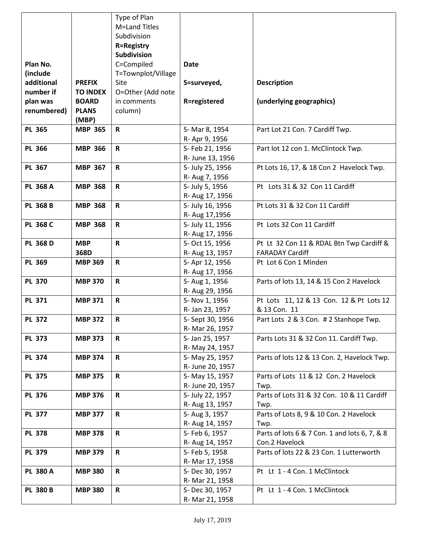|                 |                 | Type of Plan       |                                   |                                               |
|-----------------|-----------------|--------------------|-----------------------------------|-----------------------------------------------|
|                 |                 | M=Land Titles      |                                   |                                               |
|                 |                 | Subdivision        |                                   |                                               |
|                 |                 | <b>R=Registry</b>  |                                   |                                               |
|                 |                 | Subdivision        |                                   |                                               |
| Plan No.        |                 | C=Compiled         | <b>Date</b>                       |                                               |
| (include        |                 | T=Townplot/Village |                                   |                                               |
| additional      | <b>PREFIX</b>   | Site               | S=surveyed,                       | <b>Description</b>                            |
| number if       | <b>TO INDEX</b> | O=Other (Add note  |                                   |                                               |
| plan was        | <b>BOARD</b>    | in comments        | <b>R=registered</b>               | (underlying geographics)                      |
| renumbered)     | <b>PLANS</b>    | column)            |                                   |                                               |
|                 | (MBP)           |                    |                                   |                                               |
| <b>PL 365</b>   | <b>MBP 365</b>  | $\mathbf R$        | S- Mar 8, 1954                    | Part Lot 21 Con. 7 Cardiff Twp.               |
|                 |                 |                    | R- Apr 9, 1956                    |                                               |
| <b>PL 366</b>   | <b>MBP 366</b>  | $\mathbf R$        | S- Feb 21, 1956                   | Part lot 12 con 1. McClintock Twp.            |
|                 |                 |                    | R- June 13, 1956                  |                                               |
| <b>PL 367</b>   | <b>MBP 367</b>  | $\mathbf R$        | S- July 25, 1956                  | Pt Lots 16, 17, & 18 Con 2 Havelock Twp.      |
|                 |                 |                    | R- Aug 7, 1956                    |                                               |
| PL 368 A        | <b>MBP 368</b>  | $\mathbf R$        | S- July 5, 1956                   | Pt Lots 31 & 32 Con 11 Cardiff                |
|                 |                 |                    | R- Aug 17, 1956                   |                                               |
| PL 368 B        | <b>MBP 368</b>  | $\mathbf R$        | S- July 16, 1956                  | Pt Lots 31 & 32 Con 11 Cardiff                |
|                 |                 |                    | R- Aug 17,1956                    |                                               |
| PL 368 C        | <b>MBP 368</b>  | $\mathbf R$        | S- July 11, 1956                  | Pt Lots 32 Con 11 Cardiff                     |
|                 |                 |                    | R- Aug 17, 1956                   |                                               |
| PL 368 D        | <b>MBP</b>      | $\mathsf R$        | S- Oct 15, 1956                   | Pt Lt 32 Con 11 & RDAL Btn Twp Cardiff &      |
|                 | 368D            |                    | R- Aug 13, 1957                   | <b>FARADAY Cardiff</b>                        |
| <b>PL 369</b>   | <b>MBP 369</b>  | $\mathsf R$        | S-Apr 12, 1956                    | Pt Lot 6 Con 1 Minden                         |
| <b>PL 370</b>   | <b>MBP 370</b>  | $\mathbf R$        | R- Aug 17, 1956                   |                                               |
|                 |                 |                    | S- Aug 1, 1956<br>R- Aug 29, 1956 | Parts of lots 13, 14 & 15 Con 2 Havelock      |
| <b>PL 371</b>   | <b>MBP 371</b>  | $\mathsf R$        | S- Nov 1, 1956                    | Pt Lots 11, 12 & 13 Con. 12 & Pt Lots 12      |
|                 |                 |                    | R- Jan 23, 1957                   | & 13 Con. 11                                  |
| <b>PL 372</b>   | <b>MBP 372</b>  | $\mathbf R$        | S- Sept 30, 1956                  | Part Lots 2 & 3 Con. # 2 Stanhope Twp.        |
|                 |                 |                    | R- Mar 26, 1957                   |                                               |
| <b>PL 373</b>   | <b>MBP 373</b>  | $\mathbf R$        | S- Jan 25, 1957                   | Parts Lots 31 & 32 Con 11. Cardiff Twp.       |
|                 |                 |                    | R- May 24, 1957                   |                                               |
| <b>PL 374</b>   | <b>MBP 374</b>  | $\mathbf R$        | S- May 25, 1957                   | Parts of lots 12 & 13 Con. 2, Havelock Twp.   |
|                 |                 |                    | R- June 20, 1957                  |                                               |
| <b>PL 375</b>   | <b>MBP 375</b>  | R                  | S- May 15, 1957                   | Parts of Lots 11 & 12 Con. 2 Havelock         |
|                 |                 |                    | R- June 20, 1957                  | Twp.                                          |
| <b>PL 376</b>   | <b>MBP 376</b>  | $\mathbf R$        | S- July 22, 1957                  | Parts of Lots 31 & 32 Con. 10 & 11 Cardiff    |
|                 |                 |                    | R- Aug 13, 1957                   | Twp.                                          |
| <b>PL 377</b>   | <b>MBP 377</b>  | $\mathbf R$        | S- Aug 3, 1957                    | Parts of Lots 8, 9 & 10 Con. 2 Havelock       |
|                 |                 |                    | R- Aug 14, 1957                   | Twp.                                          |
| <b>PL 378</b>   | <b>MBP 378</b>  | $\mathbf R$        | S- Feb 6, 1957                    | Parts of lots 6 & 7 Con. 1 and lots 6, 7, & 8 |
|                 |                 |                    | R- Aug 14, 1957                   | Con.2 Havelock                                |
| <b>PL 379</b>   | <b>MBP 379</b>  | $\mathbf R$        | S- Feb 5, 1958                    | Parts of lots 22 & 23 Con. 1 Lutterworth      |
|                 |                 |                    | R- Mar 17, 1958                   |                                               |
| <b>PL 380 A</b> | <b>MBP 380</b>  | $\mathbf R$        | S-Dec 30, 1957                    | Pt Lt 1 - 4 Con. 1 McClintock                 |
|                 |                 |                    | R- Mar 21, 1958                   |                                               |
| <b>PL 380 B</b> | <b>MBP 380</b>  | $\mathbf R$        | S-Dec 30, 1957                    | Pt Lt 1 - 4 Con. 1 McClintock                 |
|                 |                 |                    | R- Mar 21, 1958                   |                                               |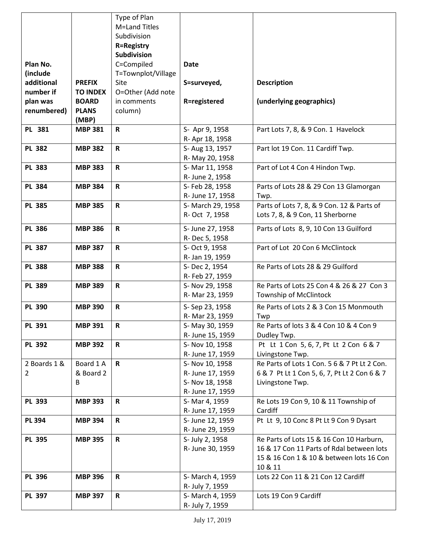|                |                 | Type of Plan       |                                     |                                              |
|----------------|-----------------|--------------------|-------------------------------------|----------------------------------------------|
|                |                 | M=Land Titles      |                                     |                                              |
|                |                 | Subdivision        |                                     |                                              |
|                |                 | <b>R=Registry</b>  |                                     |                                              |
|                |                 | <b>Subdivision</b> |                                     |                                              |
| Plan No.       |                 | C=Compiled         | <b>Date</b>                         |                                              |
| (include       |                 | T=Townplot/Village |                                     |                                              |
| additional     | <b>PREFIX</b>   | Site               | S=surveyed,                         | <b>Description</b>                           |
| number if      | <b>TO INDEX</b> | O=Other (Add note  |                                     |                                              |
| plan was       | <b>BOARD</b>    | in comments        | R=registered                        | (underlying geographics)                     |
| renumbered)    | <b>PLANS</b>    | column)            |                                     |                                              |
|                | (MBP)           |                    |                                     |                                              |
| PL 381         | <b>MBP 381</b>  | $\mathbf R$        | S- Apr 9, 1958                      | Part Lots 7, 8, & 9 Con. 1 Havelock          |
|                |                 |                    | R- Apr 18, 1958                     |                                              |
| <b>PL 382</b>  | <b>MBP 382</b>  | $\mathbf R$        | S- Aug 13, 1957                     | Part lot 19 Con. 11 Cardiff Twp.             |
|                |                 |                    | R- May 20, 1958                     |                                              |
| <b>PL 383</b>  | <b>MBP 383</b>  | $\mathbf R$        | S- Mar 11, 1958                     | Part of Lot 4 Con 4 Hindon Twp.              |
|                |                 |                    | R- June 2, 1958                     |                                              |
| <b>PL 384</b>  | <b>MBP 384</b>  | $\mathbf R$        | S- Feb 28, 1958                     | Parts of Lots 28 & 29 Con 13 Glamorgan       |
|                |                 |                    | R- June 17, 1958                    | Twp.                                         |
| <b>PL 385</b>  | <b>MBP 385</b>  | R                  | S- March 29, 1958                   | Parts of Lots 7, 8, & 9 Con. 12 & Parts of   |
|                |                 |                    | R- Oct 7, 1958                      | Lots 7, 8, & 9 Con, 11 Sherborne             |
| <b>PL 386</b>  | <b>MBP 386</b>  | $\mathbf R$        |                                     |                                              |
|                |                 |                    | S- June 27, 1958<br>R- Dec 5, 1958  | Parts of Lots 8, 9, 10 Con 13 Guilford       |
| <b>PL 387</b>  | <b>MBP 387</b>  | $\mathbf R$        | S- Oct 9, 1958                      | Part of Lot 20 Con 6 McClintock              |
|                |                 |                    | R- Jan 19, 1959                     |                                              |
| <b>PL 388</b>  | <b>MBP 388</b>  | $\mathsf R$        | S-Dec 2, 1954                       | Re Parts of Lots 28 & 29 Guilford            |
|                |                 |                    | R- Feb 27, 1959                     |                                              |
| <b>PL 389</b>  | <b>MBP 389</b>  | $\mathbf R$        | S- Nov 29, 1958                     | Re Parts of Lots 25 Con 4 & 26 & 27 Con 3    |
|                |                 |                    | R- Mar 23, 1959                     | Township of McClintock                       |
| <b>PL 390</b>  | <b>MBP 390</b>  | $\mathbf R$        | S-Sep 23, 1958                      | Re Parts of Lots 2 & 3 Con 15 Monmouth       |
|                |                 |                    | R- Mar 23, 1959                     | Twp                                          |
| PL 391         | <b>MBP 391</b>  | R                  |                                     | Re Parts of lots 3 & 4 Con 10 & 4 Con 9      |
|                |                 |                    | S- May 30, 1959<br>R- June 15, 1959 | Dudley Twp.                                  |
| <b>PL 392</b>  | <b>MBP 392</b>  | $\mathsf{R}$       | S- Nov 10, 1958                     | Pt Lt 1 Con 5, 6, 7, Pt Lt 2 Con 6 & 7       |
|                |                 |                    | R- June 17, 1959                    | Livingstone Twp.                             |
| 2 Boards 1 &   | Board 1 A       | $\mathbf R$        | S- Nov 10, 1958                     | Re Parts of Lots 1 Con. 5 6 & 7 Pt Lt 2 Con. |
| $\overline{2}$ | & Board 2       |                    | R- June 17, 1959                    | 6 & 7 Pt Lt 1 Con 5, 6, 7, Pt Lt 2 Con 6 & 7 |
|                | B               |                    | S- Nov 18, 1958                     | Livingstone Twp.                             |
|                |                 |                    | R- June 17, 1959                    |                                              |
| <b>PL 393</b>  | <b>MBP 393</b>  | R                  | S- Mar 4, 1959                      | Re Lots 19 Con 9, 10 & 11 Township of        |
|                |                 |                    | R- June 17, 1959                    | Cardiff                                      |
| <b>PL 394</b>  | <b>MBP 394</b>  | $\mathbf R$        | S- June 12, 1959                    | Pt Lt 9, 10 Conc 8 Pt Lt 9 Con 9 Dysart      |
|                |                 |                    | R- June 29, 1959                    |                                              |
| <b>PL 395</b>  | <b>MBP 395</b>  | $\mathbf R$        | S- July 2, 1958                     | Re Parts of Lots 15 & 16 Con 10 Harburn,     |
|                |                 |                    | R- June 30, 1959                    | 16 & 17 Con 11 Parts of Rdal between lots    |
|                |                 |                    |                                     | 15 & 16 Con 1 & 10 & between lots 16 Con     |
|                |                 |                    |                                     | 10 & 11                                      |
| <b>PL 396</b>  | <b>MBP 396</b>  | $\mathbf R$        | S- March 4, 1959                    | Lots 22 Con 11 & 21 Con 12 Cardiff           |
|                |                 |                    | R- July 7, 1959                     |                                              |
| PL 397         | <b>MBP 397</b>  | $\mathsf R$        | S- March 4, 1959                    | Lots 19 Con 9 Cardiff                        |
|                |                 |                    | R- July 7, 1959                     |                                              |
|                |                 |                    |                                     |                                              |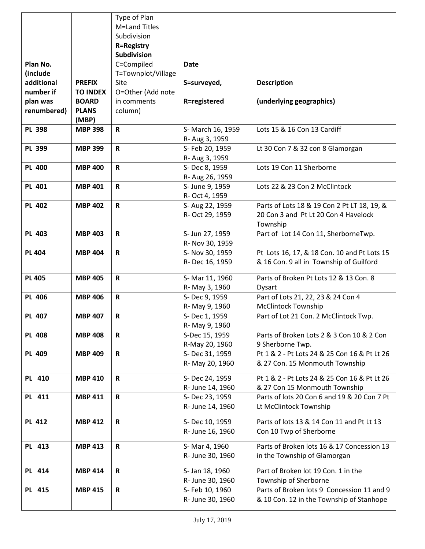|               |                 | Type of Plan       |                   |                                              |
|---------------|-----------------|--------------------|-------------------|----------------------------------------------|
|               |                 | M=Land Titles      |                   |                                              |
|               |                 | Subdivision        |                   |                                              |
|               |                 | <b>R=Registry</b>  |                   |                                              |
|               |                 | Subdivision        |                   |                                              |
| Plan No.      |                 | C=Compiled         | <b>Date</b>       |                                              |
| (include      |                 | T=Townplot/Village |                   |                                              |
| additional    | <b>PREFIX</b>   | Site               | S=surveyed,       | <b>Description</b>                           |
| number if     | <b>TO INDEX</b> | O=Other (Add note  |                   |                                              |
| plan was      | <b>BOARD</b>    | in comments        | R=registered      | (underlying geographics)                     |
| renumbered)   | <b>PLANS</b>    | column)            |                   |                                              |
|               | (MBP)           |                    |                   |                                              |
| <b>PL 398</b> | <b>MBP 398</b>  | $\mathbf R$        | S- March 16, 1959 | Lots 15 & 16 Con 13 Cardiff                  |
|               |                 |                    | R- Aug 3, 1959    |                                              |
| PL 399        | <b>MBP 399</b>  | $\mathbf R$        | S- Feb 20, 1959   | Lt 30 Con 7 & 32 con 8 Glamorgan             |
|               |                 |                    | R- Aug 3, 1959    |                                              |
| <b>PL 400</b> | <b>MBP 400</b>  | $\mathbf R$        | S-Dec 8, 1959     | Lots 19 Con 11 Sherborne                     |
|               |                 |                    | R- Aug 26, 1959   |                                              |
| <b>PL 401</b> | <b>MBP 401</b>  | $\mathsf{R}$       | S- June 9, 1959   | Lots 22 & 23 Con 2 McClintock                |
|               |                 |                    | R- Oct 4, 1959    |                                              |
| <b>PL 402</b> | <b>MBP 402</b>  | $\mathbf R$        | S- Aug 22, 1959   | Parts of Lots 18 & 19 Con 2 Pt LT 18, 19, &  |
|               |                 |                    | R- Oct 29, 1959   | 20 Con 3 and Pt Lt 20 Con 4 Havelock         |
|               |                 |                    |                   | Township                                     |
| <b>PL 403</b> | <b>MBP 403</b>  | $\mathbf R$        | S- Jun 27, 1959   | Part of Lot 14 Con 11, SherborneTwp.         |
|               |                 |                    | R- Nov 30, 1959   |                                              |
| <b>PL 404</b> | <b>MBP 404</b>  | $\mathbf R$        | S- Nov 30, 1959   | Pt Lots 16, 17, & 18 Con. 10 and Pt Lots 15  |
|               |                 |                    | R- Dec 16, 1959   | & 16 Con. 9 all in Township of Guilford      |
| <b>PL 405</b> | <b>MBP 405</b>  | $\mathsf{R}$       | S-Mar 11, 1960    | Parts of Broken Pt Lots 12 & 13 Con. 8       |
|               |                 |                    | R- May 3, 1960    | Dysart                                       |
| <b>PL 406</b> | <b>MBP 406</b>  | $\mathbf R$        | S-Dec 9, 1959     | Part of Lots 21, 22, 23 & 24 Con 4           |
|               |                 |                    | R- May 9, 1960    | <b>McClintock Township</b>                   |
| <b>PL 407</b> | <b>MBP 407</b>  | $\mathbf R$        | S-Dec 1, 1959     | Part of Lot 21 Con. 2 McClintock Twp.        |
|               |                 |                    | R-May 9, 1960     |                                              |
| <b>PL 408</b> | <b>MBP 408</b>  | R                  | S-Dec 15, 1959    | Parts of Broken Lots 2 & 3 Con 10 & 2 Con    |
|               |                 |                    | R-May 20, 1960    | 9 Sherborne Twp.                             |
| <b>PL 409</b> | <b>MBP 409</b>  | $\mathbf R$        | S-Dec 31, 1959    | Pt 1 & 2 - Pt Lots 24 & 25 Con 16 & Pt Lt 26 |
|               |                 |                    | R- May 20, 1960   | & 27 Con. 15 Monmouth Township               |
|               |                 |                    |                   |                                              |
| <b>PL 410</b> | <b>MBP 410</b>  | $\mathbf R$        | S-Dec 24, 1959    | Pt 1 & 2 - Pt Lots 24 & 25 Con 16 & Pt Lt 26 |
|               |                 |                    | R- June 14, 1960  | & 27 Con 15 Monmouth Township                |
| PL 411        | <b>MBP 411</b>  | $\mathsf R$        | S-Dec 23, 1959    | Parts of lots 20 Con 6 and 19 & 20 Con 7 Pt  |
|               |                 |                    | R- June 14, 1960  | Lt McClintock Township                       |
| <b>PL 412</b> | <b>MBP 412</b>  | $\mathsf R$        | S-Dec 10, 1959    | Parts of lots 13 & 14 Con 11 and Pt Lt 13    |
|               |                 |                    | R- June 16, 1960  | Con 10 Twp of Sherborne                      |
|               |                 |                    |                   |                                              |
| PL 413        | <b>MBP 413</b>  | $\mathbf R$        | S-Mar 4, 1960     | Parts of Broken lots 16 & 17 Concession 13   |
|               |                 |                    | R- June 30, 1960  | in the Township of Glamorgan                 |
| PL 414        | <b>MBP 414</b>  | $\mathbf R$        | S- Jan 18, 1960   | Part of Broken lot 19 Con. 1 in the          |
|               |                 |                    | R- June 30, 1960  | Township of Sherborne                        |
| PL 415        | <b>MBP 415</b>  | $\mathsf R$        | S- Feb 10, 1960   | Parts of Broken lots 9 Concession 11 and 9   |
|               |                 |                    | R- June 30, 1960  | & 10 Con. 12 in the Township of Stanhope     |
|               |                 |                    |                   |                                              |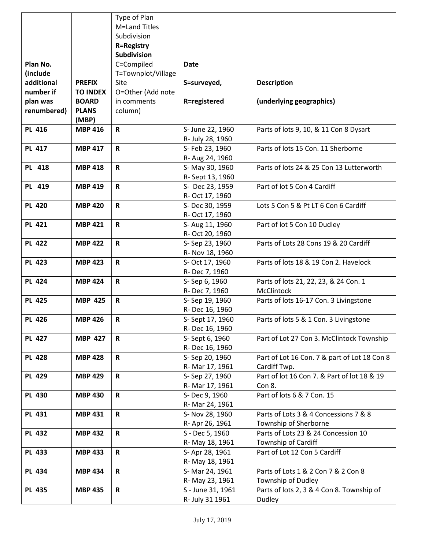|               |                 | Type of Plan       |                     |                                              |
|---------------|-----------------|--------------------|---------------------|----------------------------------------------|
|               |                 | M=Land Titles      |                     |                                              |
|               |                 | Subdivision        |                     |                                              |
|               |                 | <b>R=Registry</b>  |                     |                                              |
|               |                 | Subdivision        |                     |                                              |
| Plan No.      |                 | C=Compiled         | <b>Date</b>         |                                              |
| (include      |                 | T=Townplot/Village |                     |                                              |
| additional    | <b>PREFIX</b>   | Site               | S=surveyed,         | <b>Description</b>                           |
| number if     | <b>TO INDEX</b> | O=Other (Add note  |                     |                                              |
| plan was      | <b>BOARD</b>    | in comments        | <b>R=registered</b> | (underlying geographics)                     |
| renumbered)   | <b>PLANS</b>    | column)            |                     |                                              |
|               | (MBP)           |                    |                     |                                              |
| <b>PL 416</b> | <b>MBP 416</b>  | $\mathbf R$        | S- June 22, 1960    | Parts of lots 9, 10, & 11 Con 8 Dysart       |
|               |                 |                    | R- July 28, 1960    |                                              |
| <b>PL 417</b> | <b>MBP 417</b>  | $\mathbf R$        | S- Feb 23, 1960     | Parts of lots 15 Con. 11 Sherborne           |
|               |                 |                    | R- Aug 24, 1960     |                                              |
| PL 418        | <b>MBP 418</b>  | $\mathbf R$        | S- May 30, 1960     | Parts of lots 24 & 25 Con 13 Lutterworth     |
|               |                 |                    | R-Sept 13, 1960     |                                              |
| PL 419        | <b>MBP 419</b>  | $\mathsf{R}$       | S- Dec 23, 1959     | Part of lot 5 Con 4 Cardiff                  |
|               |                 |                    | R- Oct 17, 1960     |                                              |
| <b>PL 420</b> | <b>MBP 420</b>  | $\mathbf R$        | S-Dec 30, 1959      | Lots 5 Con 5 & Pt LT 6 Con 6 Cardiff         |
|               |                 |                    | R- Oct 17, 1960     |                                              |
| <b>PL 421</b> | <b>MBP 421</b>  | $\mathsf R$        | S- Aug 11, 1960     | Part of lot 5 Con 10 Dudley                  |
|               |                 |                    | R- Oct 20, 1960     |                                              |
| <b>PL 422</b> | <b>MBP 422</b>  | R                  | S-Sep 23, 1960      | Parts of Lots 28 Cons 19 & 20 Cardiff        |
|               |                 |                    | R- Nov 18, 1960     |                                              |
| <b>PL 423</b> | <b>MBP 423</b>  | $\mathsf R$        | S- Oct 17, 1960     | Parts of lots 18 & 19 Con 2. Havelock        |
|               |                 |                    | R- Dec 7, 1960      |                                              |
| <b>PL 424</b> | <b>MBP 424</b>  | $\mathbf R$        | S-Sep 6, 1960       | Parts of lots 21, 22, 23, & 24 Con. 1        |
|               |                 |                    | R- Dec 7, 1960      | McClintock                                   |
| <b>PL 425</b> | <b>MBP 425</b>  | $\mathbf R$        | S-Sep 19, 1960      | Parts of lots 16-17 Con. 3 Livingstone       |
|               |                 |                    | R-Dec 16, 1960      |                                              |
| <b>PL 426</b> | <b>MBP 426</b>  | $\mathbf R$        | S- Sept 17, 1960    | Parts of lots 5 & 1 Con. 3 Livingstone       |
|               |                 |                    | R-Dec 16, 1960      |                                              |
| <b>PL 427</b> | <b>MBP 427</b>  | R                  | S- Sept 6, 1960     | Part of Lot 27 Con 3. McClintock Township    |
|               |                 |                    | R-Dec 16, 1960      |                                              |
| <b>PL 428</b> | <b>MBP 428</b>  | $\mathbf R$        | S-Sep 20, 1960      | Part of Lot 16 Con. 7 & part of Lot 18 Con 8 |
|               |                 |                    | R- Mar 17, 1961     | Cardiff Twp.                                 |
| <b>PL 429</b> | <b>MBP 429</b>  | R                  | S-Sep 27, 1960      | Part of lot 16 Con 7. & Part of lot 18 & 19  |
|               |                 |                    | R- Mar 17, 1961     | Con 8.                                       |
| <b>PL 430</b> | <b>MBP 430</b>  | $\mathbf R$        | S-Dec 9, 1960       | Part of lots 6 & 7 Con. 15                   |
|               |                 |                    | R- Mar 24, 1961     |                                              |
| <b>PL 431</b> | <b>MBP 431</b>  | $\mathbf R$        | S- Nov 28, 1960     | Parts of Lots 3 & 4 Concessions 7 & 8        |
|               |                 |                    | R- Apr 26, 1961     | Township of Sherborne                        |
| <b>PL 432</b> | <b>MBP 432</b>  | $\mathbf R$        | S - Dec 5, 1960     | Parts of Lots 23 & 24 Concession 10          |
|               |                 |                    | R- May 18, 1961     | Township of Cardiff                          |
| <b>PL 433</b> | <b>MBP 433</b>  | $\mathbf R$        | S- Apr 28, 1961     | Part of Lot 12 Con 5 Cardiff                 |
|               |                 |                    | R- May 18, 1961     |                                              |
| <b>PL 434</b> | <b>MBP 434</b>  | $\mathbf R$        | S- Mar 24, 1961     | Parts of Lots 1 & 2 Con 7 & 2 Con 8          |
|               |                 |                    | R- May 23, 1961     | Township of Dudley                           |
| <b>PL 435</b> | <b>MBP 435</b>  | R                  | S - June 31, 1961   | Parts of lots 2, 3 & 4 Con 8. Township of    |
|               |                 |                    | R- July 31 1961     | Dudley                                       |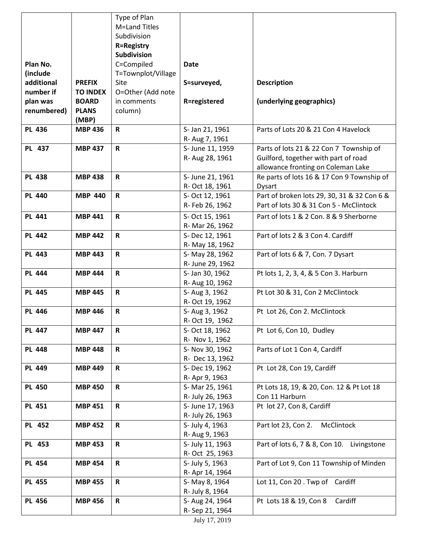|               |                 | Type of Plan       |                  |                                             |
|---------------|-----------------|--------------------|------------------|---------------------------------------------|
|               |                 | M=Land Titles      |                  |                                             |
|               |                 | Subdivision        |                  |                                             |
|               |                 | <b>R=Registry</b>  |                  |                                             |
|               |                 | Subdivision        |                  |                                             |
| Plan No.      |                 | C=Compiled         | <b>Date</b>      |                                             |
| (include      |                 | T=Townplot/Village |                  |                                             |
| additional    | <b>PREFIX</b>   | Site               | S=surveyed,      | <b>Description</b>                          |
| number if     | <b>TO INDEX</b> | O=Other (Add note  |                  |                                             |
| plan was      | <b>BOARD</b>    | in comments        | R=registered     | (underlying geographics)                    |
| renumbered)   | <b>PLANS</b>    | column)            |                  |                                             |
|               | (MBP)           |                    |                  |                                             |
| <b>PL 436</b> | <b>MBP 436</b>  | $\mathsf R$        | S- Jan 21, 1961  | Parts of Lots 20 & 21 Con 4 Havelock        |
|               |                 |                    | R- Aug 7, 1961   |                                             |
| PL 437        | <b>MBP 437</b>  | $\mathsf R$        | S- June 11, 1959 | Parts of lots 21 & 22 Con 7 Township of     |
|               |                 |                    | R- Aug 28, 1961  | Guilford, together with part of road        |
|               |                 |                    |                  | allowance fronting on Coleman Lake          |
| <b>PL 438</b> | <b>MBP 438</b>  | $\mathsf R$        | S- June 21, 1961 | Re parts of lots 16 & 17 Con 9 Township of  |
|               |                 |                    | R- Oct 18, 1961  | Dysart                                      |
| <b>PL 440</b> | <b>MBP 440</b>  | $\mathsf R$        | S- Oct 12, 1961  | Part of broken lots 29, 30, 31 & 32 Con 6 & |
|               |                 |                    | R-Feb 26, 1962   | Part of lots 30 & 31 Con 5 - McClintock     |
| <b>PL 441</b> | <b>MBP 441</b>  | $\mathsf R$        | S- Oct 15, 1961  | Part of lots 1 & 2 Con. 8 & 9 Sherborne     |
|               |                 |                    | R- Mar 26, 1962  |                                             |
| <b>PL 442</b> | <b>MBP 442</b>  | $\mathsf R$        | S-Dec 12, 1961   | Part of lots 2 & 3 Con 4. Cardiff           |
|               |                 |                    | R- May 18, 1962  |                                             |
| <b>PL 443</b> | <b>MBP 443</b>  | $\mathsf R$        | S- May 28, 1962  | Part of lots 6 & 7, Con. 7 Dysart           |
|               |                 |                    | R- June 29, 1962 |                                             |
| <b>PL 444</b> | <b>MBP 444</b>  | $\mathsf R$        | S- Jan 30, 1962  | Pt lots 1, 2, 3, 4, & 5 Con 3. Harburn      |
|               |                 |                    | R- Aug 10, 1962  |                                             |
| <b>PL 445</b> | <b>MBP 445</b>  | $\mathsf R$        | S- Aug 3, 1962   | Pt Lot 30 & 31, Con 2 McClintock            |
|               |                 |                    | R- Oct 19, 1962  |                                             |
| <b>PL 446</b> | <b>MBP 446</b>  | $\mathsf R$        | S- Aug 3, 1962   | Pt Lot 26, Con 2. McClintock                |
|               |                 |                    | R- Oct 19, 1962  |                                             |
| <b>PL 447</b> | <b>MBP 447</b>  | R                  | S- Oct 18, 1962  | Pt Lot 6, Con 10, Dudley                    |
|               |                 |                    | R- Nov 1, 1962   |                                             |
| <b>PL 448</b> | <b>MBP 448</b>  | $\mathsf R$        | S- Nov 30, 1962  | Parts of Lot 1 Con 4, Cardiff               |
|               |                 |                    | R- Dec 13, 1962  |                                             |
| <b>PL 449</b> | <b>MBP 449</b>  | R                  | S-Dec 19, 1962   | Pt Lot 28, Con 19, Cardiff                  |
|               |                 |                    | R- Apr 9, 1963   |                                             |
| <b>PL 450</b> | <b>MBP 450</b>  | $\mathsf R$        | S-Mar 25, 1961   | Pt Lots 18, 19, & 20, Con. 12 & Pt Lot 18   |
|               |                 |                    | R- July 26, 1963 | Con 11 Harburn                              |
| <b>PL 451</b> | <b>MBP 451</b>  | $\mathsf R$        | S- June 17, 1963 | Pt lot 27, Con 8, Cardiff                   |
|               |                 |                    | R- July 26, 1963 |                                             |
| <b>PL 452</b> | <b>MBP 452</b>  | $\mathsf R$        | S- July 4, 1963  | Part lot 23, Con 2.<br>McClintock           |
|               |                 |                    | R- Aug 9, 1963   |                                             |
| PL 453        | <b>MBP 453</b>  | $\mathsf R$        | S- July 11, 1963 | Part of lots 6, 7 & 8, Con 10. Livingstone  |
|               |                 |                    | R- Oct 25, 1963  |                                             |
| <b>PL 454</b> | <b>MBP 454</b>  | $\mathsf R$        | S- July 5, 1963  | Part of Lot 9, Con 11 Township of Minden    |
|               |                 |                    | R- Apr 14, 1964  |                                             |
| <b>PL 455</b> | <b>MBP 455</b>  | $\mathsf R$        | S- May 8, 1964   | Lot 11, Con 20 . Twp of Cardiff             |
|               |                 |                    | R- July 8, 1964  |                                             |
| <b>PL 456</b> | <b>MBP 456</b>  | R                  | S- Aug 24, 1964  | Pt Lots 18 & 19, Con 8<br>Cardiff           |
|               |                 |                    | R-Sep 21, 1964   |                                             |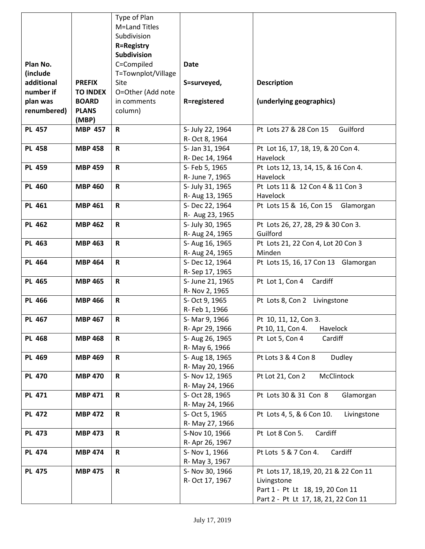|               |                 | Type of Plan       |                  |                                          |
|---------------|-----------------|--------------------|------------------|------------------------------------------|
|               |                 | M=Land Titles      |                  |                                          |
|               |                 | Subdivision        |                  |                                          |
|               |                 | <b>R=Registry</b>  |                  |                                          |
|               |                 | <b>Subdivision</b> |                  |                                          |
| Plan No.      |                 | C=Compiled         | <b>Date</b>      |                                          |
| (include      |                 | T=Townplot/Village |                  |                                          |
| additional    | <b>PREFIX</b>   | Site               | S=surveyed,      | <b>Description</b>                       |
| number if     | <b>TO INDEX</b> | O=Other (Add note  |                  |                                          |
| plan was      | <b>BOARD</b>    | in comments        | R=registered     | (underlying geographics)                 |
| renumbered)   | <b>PLANS</b>    | column)            |                  |                                          |
|               | (MBP)           |                    |                  |                                          |
| <b>PL 457</b> | <b>MBP 457</b>  | $\mathbf R$        | S- July 22, 1964 | Guilford<br>Pt Lots 27 & 28 Con 15       |
|               |                 |                    | R- Oct 8, 1964   |                                          |
| <b>PL 458</b> | <b>MBP 458</b>  | $\mathbf R$        | S- Jan 31, 1964  | Pt Lot 16, 17, 18, 19, & 20 Con 4.       |
|               |                 |                    | R-Dec 14, 1964   | Havelock                                 |
| <b>PL 459</b> | <b>MBP 459</b>  | $\mathbf R$        | S- Feb 5, 1965   | Pt Lots 12, 13, 14, 15, & 16 Con 4.      |
|               |                 |                    | R- June 7, 1965  | Havelock                                 |
| <b>PL 460</b> | <b>MBP 460</b>  | $\mathbf R$        | S- July 31, 1965 | Pt Lots 11 & 12 Con 4 & 11 Con 3         |
|               |                 |                    | R- Aug 13, 1965  | Havelock                                 |
| <b>PL 461</b> | <b>MBP 461</b>  | R                  | S- Dec 22, 1964  | Pt Lots 15 & 16, Con 15<br>Glamorgan     |
|               |                 |                    | R- Aug 23, 1965  |                                          |
| <b>PL 462</b> | <b>MBP 462</b>  | $\mathbf R$        | S- July 30, 1965 | Pt Lots 26, 27, 28, 29 & 30 Con 3.       |
|               |                 |                    | R- Aug 24, 1965  | Guilford                                 |
| <b>PL 463</b> | <b>MBP 463</b>  | $\mathbf R$        | S- Aug 16, 1965  | Pt Lots 21, 22 Con 4, Lot 20 Con 3       |
|               |                 |                    | R- Aug 24, 1965  | Minden                                   |
| <b>PL 464</b> | <b>MBP 464</b>  | $\mathbf R$        | S-Dec 12, 1964   | Pt Lots 15, 16, 17 Con 13 Glamorgan      |
|               |                 |                    | R-Sep 17, 1965   |                                          |
| <b>PL 465</b> | <b>MBP 465</b>  | $\mathbf R$        | S- June 21, 1965 | Pt Lot 1, Con 4<br>Cardiff               |
|               |                 |                    | R- Nov 2, 1965   |                                          |
| <b>PL 466</b> | <b>MBP 466</b>  | $\mathbf R$        | S- Oct 9, 1965   | Pt Lots 8, Con 2 Livingstone             |
|               |                 |                    | R- Feb 1, 1966   |                                          |
| <b>PL 467</b> | <b>MBP 467</b>  | $\mathbf R$        | S-Mar 9, 1966    | Pt 10, 11, 12, Con 3.                    |
|               |                 |                    | R- Apr 29, 1966  | Pt 10, 11, Con 4.<br>Havelock            |
| <b>PL 468</b> | <b>MBP 468</b>  | $\mathbf R$        | S- Aug 26, 1965  | Cardiff<br>Pt Lot 5, Con 4               |
|               |                 |                    | R- May 6, 1966   |                                          |
| <b>PL 469</b> | <b>MBP 469</b>  | $\mathbf R$        | S- Aug 18, 1965  | Pt Lots 3 & 4 Con 8<br>Dudley            |
|               |                 |                    | R- May 20, 1966  |                                          |
| <b>PL 470</b> | <b>MBP 470</b>  | R                  | S- Nov 12, 1965  | McClintock<br>Pt Lot 21, Con 2           |
|               |                 |                    | R- May 24, 1966  |                                          |
| <b>PL 471</b> | <b>MBP 471</b>  | $\mathbf R$        | S- Oct 28, 1965  | Pt Lots 30 & 31 Con 8<br>Glamorgan       |
|               |                 |                    | R- May 24, 1966  |                                          |
| <b>PL 472</b> | <b>MBP 472</b>  | $\mathbf R$        | S- Oct 5, 1965   | Pt Lots 4, 5, & 6 Con 10.<br>Livingstone |
|               |                 |                    | R- May 27, 1966  |                                          |
| <b>PL 473</b> | <b>MBP 473</b>  | $\mathbf R$        | S-Nov 10, 1966   | Cardiff<br>Pt Lot 8 Con 5.               |
|               |                 |                    | R- Apr 26, 1967  |                                          |
| <b>PL 474</b> | <b>MBP 474</b>  | $\mathbf R$        | S- Nov 1, 1966   | Pt Lots 5 & 7 Con 4.<br>Cardiff          |
|               |                 |                    | R- May 3, 1967   |                                          |
| <b>PL 475</b> | <b>MBP 475</b>  | $\mathbf R$        | S- Nov 30, 1966  | Pt Lots 17, 18,19, 20, 21 & 22 Con 11    |
|               |                 |                    | R- Oct 17, 1967  | Livingstone                              |
|               |                 |                    |                  | Part 1 - Pt Lt 18, 19, 20 Con 11         |
|               |                 |                    |                  | Part 2 - Pt Lt 17, 18, 21, 22 Con 11     |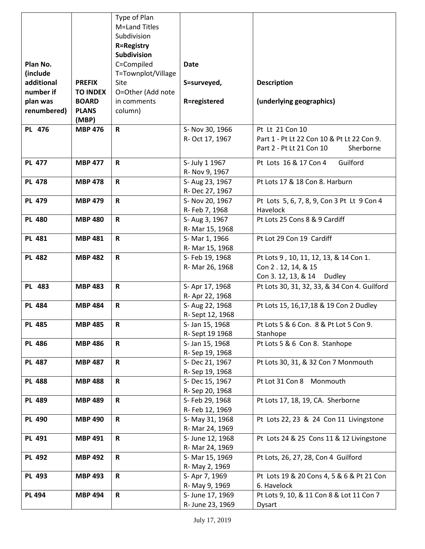|               |                 | Type of Plan       |                                  |                                              |
|---------------|-----------------|--------------------|----------------------------------|----------------------------------------------|
|               |                 | M=Land Titles      |                                  |                                              |
|               |                 | Subdivision        |                                  |                                              |
|               |                 | <b>R=Registry</b>  |                                  |                                              |
|               |                 | Subdivision        |                                  |                                              |
| Plan No.      |                 | C=Compiled         | <b>Date</b>                      |                                              |
| (include      |                 | T=Townplot/Village |                                  |                                              |
| additional    | <b>PREFIX</b>   | Site               | S=surveyed,                      | <b>Description</b>                           |
| number if     | <b>TO INDEX</b> | O=Other (Add note  |                                  |                                              |
| plan was      | <b>BOARD</b>    | in comments        | R=registered                     | (underlying geographics)                     |
| renumbered)   | <b>PLANS</b>    | column)            |                                  |                                              |
|               | (MBP)           |                    |                                  |                                              |
| PL 476        | <b>MBP 476</b>  | R                  | S- Nov 30, 1966                  | Pt Lt 21 Con 10                              |
|               |                 |                    | R- Oct 17, 1967                  | Part 1 - Pt Lt 22 Con 10 & Pt Lt 22 Con 9.   |
|               |                 |                    |                                  | Part 2 - Pt Lt 21 Con 10<br>Sherborne        |
| <b>PL 477</b> |                 |                    |                                  |                                              |
|               | <b>MBP 477</b>  | R                  | S- July 1 1967<br>R- Nov 9, 1967 | Guilford<br>Pt Lots 16 & 17 Con 4            |
| <b>PL 478</b> | <b>MBP 478</b>  | $\mathbf R$        | S- Aug 23, 1967                  | Pt Lots 17 & 18 Con 8. Harburn               |
|               |                 |                    | R-Dec 27, 1967                   |                                              |
| <b>PL 479</b> | <b>MBP 479</b>  | $\mathbf R$        | S- Nov 20, 1967                  | Pt Lots 5, 6, 7, 8, 9, Con 3 Pt Lt 9 Con 4   |
|               |                 |                    | R- Feb 7, 1968                   | Havelock                                     |
| <b>PL 480</b> | <b>MBP 480</b>  | $\mathsf{R}$       | S- Aug 3, 1967                   | Pt Lots 25 Cons 8 & 9 Cardiff                |
|               |                 |                    | R- Mar 15, 1968                  |                                              |
| <b>PL 481</b> | <b>MBP 481</b>  | $\mathbf R$        | S-Mar 1, 1966                    | Pt Lot 29 Con 19 Cardiff                     |
|               |                 |                    | R- Mar 15, 1968                  |                                              |
| <b>PL 482</b> | <b>MBP 482</b>  | $\mathbf R$        | S- Feb 19, 1968                  | Pt Lots 9, 10, 11, 12, 13, & 14 Con 1.       |
|               |                 |                    | R- Mar 26, 1968                  | Con 2 . 12, 14, & 15                         |
|               |                 |                    |                                  | Con 3. 12, 13, & 14 Dudley                   |
| PL 483        | <b>MBP 483</b>  | $\mathsf{R}$       | S-Apr 17, 1968                   | Pt Lots 30, 31, 32, 33, & 34 Con 4. Guilford |
|               |                 |                    | R- Apr 22, 1968                  |                                              |
| <b>PL 484</b> | <b>MBP 484</b>  | $\mathbf R$        | S- Aug 22, 1968                  | Pt Lots 15, 16, 17, 18 & 19 Con 2 Dudley     |
|               |                 |                    | R-Sept 12, 1968                  |                                              |
| <b>PL 485</b> | <b>MBP 485</b>  | ${\sf R}$          | S- Jan 15, 1968                  | Pt Lots 5 & 6 Con. 8 & Pt Lot 5 Con 9.       |
|               |                 |                    | R-Sept 19 1968                   | Stanhope                                     |
| <b>PL 486</b> | <b>MBP 486</b>  | $\mathbf R$        | S- Jan 15, 1968                  | Pt Lots 5 & 6 Con 8. Stanhope                |
|               |                 |                    | R-Sep 19, 1968                   |                                              |
| <b>PL 487</b> | <b>MBP 487</b>  | $\mathbf R$        | S-Dec 21, 1967                   | Pt Lots 30, 31, & 32 Con 7 Monmouth          |
|               |                 |                    | R-Sep 19, 1968                   |                                              |
| <b>PL 488</b> | <b>MBP 488</b>  | $\mathbf R$        | S-Dec 15, 1967                   | Pt Lot 31 Con 8 Monmouth                     |
|               |                 |                    | R-Sep 20, 1968                   |                                              |
| <b>PL 489</b> | <b>MBP 489</b>  | $\mathbf R$        | S- Feb 29, 1968                  | Pt Lots 17, 18, 19, CA. Sherborne            |
|               |                 |                    | R- Feb 12, 1969                  |                                              |
| <b>PL 490</b> | <b>MBP 490</b>  | $\mathsf{R}$       | S-May 31, 1968                   | Pt Lots 22, 23 & 24 Con 11 Livingstone       |
|               |                 |                    | R- Mar 24, 1969                  |                                              |
| <b>PL 491</b> | <b>MBP 491</b>  | $\mathbf R$        | S- June 12, 1968                 | Pt Lots 24 & 25 Cons 11 & 12 Livingstone     |
|               |                 |                    | R- Mar 24, 1969                  |                                              |
| <b>PL 492</b> | <b>MBP 492</b>  | R                  | S- Mar 15, 1969                  | Pt Lots, 26, 27, 28, Con 4 Guilford          |
|               |                 |                    | R- May 2, 1969                   |                                              |
| <b>PL 493</b> | <b>MBP 493</b>  | R                  | S- Apr 7, 1969                   | Pt Lots 19 & 20 Cons 4, 5 & 6 & Pt 21 Con    |
|               |                 |                    | R- May 9, 1969                   | 6. Havelock                                  |
| <b>PL 494</b> | <b>MBP 494</b>  | $\mathbf R$        | S- June 17, 1969                 | Pt Lots 9, 10, & 11 Con 8 & Lot 11 Con 7     |
|               |                 |                    | R- June 23, 1969                 | <b>Dysart</b>                                |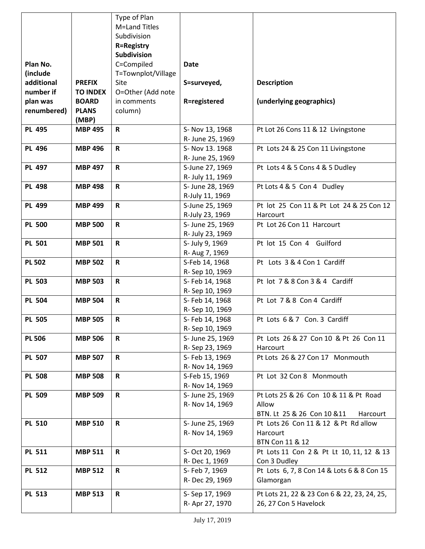|               |                 | Type of Plan       |                  |                                             |
|---------------|-----------------|--------------------|------------------|---------------------------------------------|
|               |                 | M=Land Titles      |                  |                                             |
|               |                 | Subdivision        |                  |                                             |
|               |                 | <b>R=Registry</b>  |                  |                                             |
|               |                 | <b>Subdivision</b> |                  |                                             |
| Plan No.      |                 | C=Compiled         | <b>Date</b>      |                                             |
| (include      |                 | T=Townplot/Village |                  |                                             |
| additional    | <b>PREFIX</b>   | Site               | S=surveyed,      | <b>Description</b>                          |
| number if     | <b>TO INDEX</b> | O=Other (Add note  |                  |                                             |
| plan was      | <b>BOARD</b>    | in comments        | R=registered     | (underlying geographics)                    |
| renumbered)   | <b>PLANS</b>    | column)            |                  |                                             |
|               | (MBP)           |                    |                  |                                             |
| <b>PL 495</b> | <b>MBP 495</b>  | $\mathbf R$        | S- Nov 13, 1968  | Pt Lot 26 Cons 11 & 12 Livingstone          |
|               |                 |                    | R- June 25, 1969 |                                             |
| <b>PL 496</b> | <b>MBP 496</b>  | $\mathbf R$        | S- Nov 13. 1968  | Pt Lots 24 & 25 Con 11 Livingstone          |
|               |                 |                    | R- June 25, 1969 |                                             |
| <b>PL 497</b> | <b>MBP 497</b>  | $\mathbf R$        | S-June 27, 1969  | Pt Lots 4 & 5 Cons 4 & 5 Dudley             |
|               |                 |                    | R- July 11, 1969 |                                             |
| <b>PL 498</b> | <b>MBP 498</b>  | $\mathbf R$        | S- June 28, 1969 | Pt Lots 4 & 5 Con 4 Dudley                  |
|               |                 |                    | R-July 11, 1969  |                                             |
| <b>PL 499</b> | <b>MBP 499</b>  | R                  | S-June 25, 1969  | Pt lot 25 Con 11 & Pt Lot 24 & 25 Con 12    |
|               |                 |                    | R-July 23, 1969  | Harcourt                                    |
| <b>PL 500</b> | <b>MBP 500</b>  | $\mathsf R$        | S- June 25, 1969 | Pt Lot 26 Con 11 Harcourt                   |
|               |                 |                    | R- July 23, 1969 |                                             |
| <b>PL 501</b> | <b>MBP 501</b>  | R                  | S- July 9, 1969  | Pt lot 15 Con 4 Guilford                    |
|               |                 |                    | R- Aug 7, 1969   |                                             |
| <b>PL 502</b> | <b>MBP 502</b>  | $\mathbf R$        | S-Feb 14, 1968   | Pt Lots 3 & 4 Con 1 Cardiff                 |
|               |                 |                    | R-Sep 10, 1969   |                                             |
| <b>PL 503</b> | <b>MBP 503</b>  | $\mathbf R$        | S- Feb 14, 1968  | Pt lot 7 & 8 Con 3 & 4 Cardiff              |
|               |                 |                    | R-Sep 10, 1969   |                                             |
| <b>PL 504</b> | <b>MBP 504</b>  | $\mathbf R$        | S- Feb 14, 1968  | Pt Lot 7 & 8 Con 4 Cardiff                  |
|               |                 |                    | R-Sep 10, 1969   |                                             |
| <b>PL 505</b> | <b>MBP 505</b>  | $\mathbf R$        | S- Feb 14, 1968  | Pt Lots 6 & 7 Con. 3 Cardiff                |
|               |                 |                    | R-Sep 10, 1969   |                                             |
| <b>PL 506</b> | <b>MBP 506</b>  | R                  | S- June 25, 1969 | Pt Lots 26 & 27 Con 10 & Pt 26 Con 11       |
|               |                 |                    | R-Sep 23, 1969   | Harcourt                                    |
| <b>PL 507</b> | <b>MBP 507</b>  | R                  | S- Feb 13, 1969  | Pt Lots 26 & 27 Con 17 Monmouth             |
|               |                 |                    | R- Nov 14, 1969  |                                             |
| <b>PL 508</b> | <b>MBP 508</b>  | R                  | S-Feb 15, 1969   | Pt Lot 32 Con 8 Monmouth                    |
|               |                 |                    | R- Nov 14, 1969  |                                             |
| <b>PL 509</b> | <b>MBP 509</b>  | $\mathbf R$        | S- June 25, 1969 | Pt Lots 25 & 26 Con 10 & 11 & Pt Road       |
|               |                 |                    | R- Nov 14, 1969  | Allow                                       |
|               |                 |                    |                  | BTN. Lt 25 & 26 Con 10 & 11<br>Harcourt     |
| <b>PL 510</b> | <b>MBP 510</b>  | $\mathbf R$        | S- June 25, 1969 | Pt Lots 26 Con 11 & 12 & Pt Rd allow        |
|               |                 |                    | R- Nov 14, 1969  | Harcourt                                    |
|               |                 |                    |                  | BTN Con 11 & 12                             |
| <b>PL 511</b> | <b>MBP 511</b>  | R                  | S- Oct 20, 1969  | Pt Lots 11 Con 2 & Pt Lt 10, 11, 12 & 13    |
|               |                 |                    | R-Dec 1, 1969    | Con 3 Dudley                                |
| <b>PL 512</b> | <b>MBP 512</b>  | $\mathbf R$        | S- Feb 7, 1969   | Pt Lots 6, 7, 8 Con 14 & Lots 6 & 8 Con 15  |
|               |                 |                    | R-Dec 29, 1969   | Glamorgan                                   |
| <b>PL 513</b> | <b>MBP 513</b>  | $\mathbf R$        | S-Sep 17, 1969   | Pt Lots 21, 22 & 23 Con 6 & 22, 23, 24, 25, |
|               |                 |                    | R- Apr 27, 1970  | 26, 27 Con 5 Havelock                       |
|               |                 |                    |                  |                                             |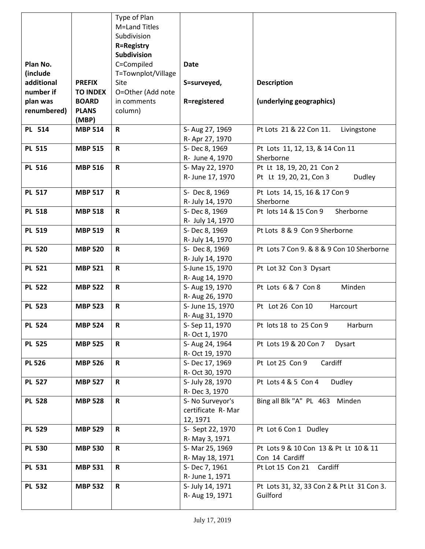|               |                 | Type of Plan       |                   |                                            |
|---------------|-----------------|--------------------|-------------------|--------------------------------------------|
|               |                 | M=Land Titles      |                   |                                            |
|               |                 | Subdivision        |                   |                                            |
|               |                 | <b>R=Registry</b>  |                   |                                            |
|               |                 | <b>Subdivision</b> |                   |                                            |
| Plan No.      |                 | C=Compiled         | <b>Date</b>       |                                            |
| (include      |                 | T=Townplot/Village |                   |                                            |
| additional    | <b>PREFIX</b>   | Site               | S=surveyed,       | <b>Description</b>                         |
| number if     | <b>TO INDEX</b> | O=Other (Add note  |                   |                                            |
| plan was      | <b>BOARD</b>    | in comments        | R=registered      | (underlying geographics)                   |
| renumbered)   | <b>PLANS</b>    | column)            |                   |                                            |
|               | (MBP)           |                    |                   |                                            |
| PL 514        | <b>MBP 514</b>  | $\mathbf R$        | S- Aug 27, 1969   | Pt Lots 21 & 22 Con 11.<br>Livingstone     |
|               |                 |                    | R- Apr 27, 1970   |                                            |
| <b>PL 515</b> | <b>MBP 515</b>  | $\mathbf R$        | S-Dec 8, 1969     | Pt Lots 11, 12, 13, & 14 Con 11            |
|               |                 |                    | R- June 4, 1970   | Sherborne                                  |
| <b>PL 516</b> | <b>MBP 516</b>  | $\mathbf R$        | S-May 22, 1970    | Pt Lt 18, 19, 20, 21 Con 2                 |
|               |                 |                    | R- June 17, 1970  | Pt Lt 19, 20, 21, Con 3<br>Dudley          |
|               |                 |                    |                   |                                            |
| <b>PL 517</b> | <b>MBP 517</b>  | $\mathbf R$        | S- Dec 8, 1969    | Pt Lots 14, 15, 16 & 17 Con 9              |
|               |                 |                    | R- July 14, 1970  | Sherborne                                  |
| <b>PL 518</b> | <b>MBP 518</b>  | $\mathbf R$        | S-Dec 8, 1969     | Pt lots 14 & 15 Con 9<br>Sherborne         |
|               |                 |                    | R- July 14, 1970  |                                            |
| <b>PL 519</b> | <b>MBP 519</b>  | $\mathbf R$        | S-Dec 8, 1969     | Pt Lots 8 & 9 Con 9 Sherborne              |
|               |                 |                    | R- July 14, 1970  |                                            |
| <b>PL 520</b> | <b>MBP 520</b>  | $\mathbf R$        | S- Dec 8, 1969    | Pt Lots 7 Con 9. & 8 & 9 Con 10 Sherborne  |
|               |                 |                    | R- July 14, 1970  |                                            |
| <b>PL 521</b> | <b>MBP 521</b>  | $\mathbf R$        | S-June 15, 1970   | Pt Lot 32 Con 3 Dysart                     |
|               |                 |                    | R- Aug 14, 1970   |                                            |
| <b>PL 522</b> | <b>MBP 522</b>  | $\mathbf R$        | S- Aug 19, 1970   | Pt Lots 6 & 7 Con 8<br>Minden              |
|               |                 |                    | R- Aug 26, 1970   |                                            |
| <b>PL 523</b> | <b>MBP 523</b>  | $\mathbf R$        | S- June 15, 1970  | Pt Lot 26 Con 10<br>Harcourt               |
|               |                 |                    | R- Aug 31, 1970   |                                            |
| <b>PL 524</b> | <b>MBP 524</b>  | $\mathbf R$        | S-Sep 11, 1970    | Pt lots 18 to 25 Con 9<br>Harburn          |
|               |                 |                    | R- Oct 1, 1970    |                                            |
| <b>PL 525</b> | <b>MBP 525</b>  | $\mathbf R$        | S- Aug 24, 1964   | Pt Lots 19 & 20 Con 7<br><b>Dysart</b>     |
|               |                 |                    | R- Oct 19, 1970   |                                            |
| <b>PL 526</b> | <b>MBP 526</b>  | $\mathbf R$        | S- Dec 17, 1969   | Cardiff<br>Pt Lot 25 Con 9                 |
|               |                 |                    | R- Oct 30, 1970   |                                            |
| <b>PL 527</b> | <b>MBP 527</b>  | $\mathsf{R}$       | S- July 28, 1970  | Pt Lots 4 & 5 Con 4<br>Dudley              |
|               |                 |                    | R-Dec 3, 1970     |                                            |
| <b>PL 528</b> | <b>MBP 528</b>  | R                  | S- No Surveyor's  | Bing all Blk "A" PL 463<br>Minden          |
|               |                 |                    | certificate R-Mar |                                            |
|               |                 |                    | 12, 1971          |                                            |
| <b>PL 529</b> | <b>MBP 529</b>  | $\mathbf R$        | S- Sept 22, 1970  | Pt Lot 6 Con 1 Dudley                      |
|               |                 |                    | R- May 3, 1971    |                                            |
| <b>PL 530</b> | <b>MBP 530</b>  | $\mathbf R$        | S- Mar 25, 1969   | Pt Lots 9 & 10 Con 13 & Pt Lt 10 & 11      |
|               |                 |                    | R- May 18, 1971   | Con 14 Cardiff                             |
| <b>PL 531</b> | <b>MBP 531</b>  | $\mathbf R$        | S-Dec 7, 1961     | Cardiff<br>Pt Lot 15 Con 21                |
|               |                 |                    | R- June 1, 1971   |                                            |
| <b>PL 532</b> | <b>MBP 532</b>  | $\mathsf{R}$       | S- July 14, 1971  | Pt Lots 31, 32, 33 Con 2 & Pt Lt 31 Con 3. |
|               |                 |                    | R- Aug 19, 1971   | Guilford                                   |
|               |                 |                    |                   |                                            |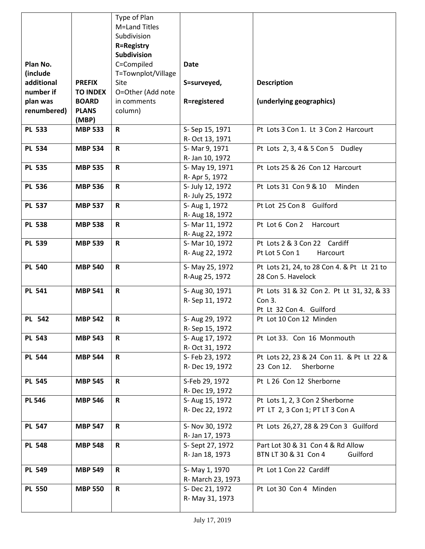|               |                 | Type of Plan       |                   |                                            |
|---------------|-----------------|--------------------|-------------------|--------------------------------------------|
|               |                 | M=Land Titles      |                   |                                            |
|               |                 | Subdivision        |                   |                                            |
|               |                 | <b>R=Registry</b>  |                   |                                            |
|               |                 | Subdivision        |                   |                                            |
| Plan No.      |                 | C=Compiled         | <b>Date</b>       |                                            |
| (include      |                 | T=Townplot/Village |                   |                                            |
| additional    | <b>PREFIX</b>   | Site               | S=surveyed,       | <b>Description</b>                         |
| number if     | <b>TO INDEX</b> | O=Other (Add note  |                   |                                            |
| plan was      | <b>BOARD</b>    | in comments        | R=registered      | (underlying geographics)                   |
| renumbered)   | <b>PLANS</b>    | column)            |                   |                                            |
|               | (MBP)           |                    |                   |                                            |
| <b>PL 533</b> | <b>MBP 533</b>  | $\mathbf R$        | S-Sep 15, 1971    | Pt Lots 3 Con 1. Lt 3 Con 2 Harcourt       |
|               |                 |                    | R- Oct 13, 1971   |                                            |
| <b>PL 534</b> | <b>MBP 534</b>  | $\mathbf R$        | S-Mar 9, 1971     | Pt Lots 2, 3, 4 & 5 Con 5 Dudley           |
|               |                 |                    | R- Jan 10, 1972   |                                            |
| <b>PL 535</b> | <b>MBP 535</b>  | $\mathbf R$        | S-May 19, 1971    | Pt Lots 25 & 26 Con 12 Harcourt            |
|               |                 |                    | R- Apr 5, 1972    |                                            |
| <b>PL 536</b> | <b>MBP 536</b>  | $\mathsf{R}$       | S- July 12, 1972  | Pt Lots 31 Con 9 & 10<br>Minden            |
|               |                 |                    | R- July 25, 1972  |                                            |
| <b>PL 537</b> | <b>MBP 537</b>  | $\mathbf R$        | S- Aug 1, 1972    | Pt Lot 25 Con 8 Guilford                   |
|               |                 |                    | R- Aug 18, 1972   |                                            |
| <b>PL 538</b> | <b>MBP 538</b>  | $\mathsf R$        | S- Mar 11, 1972   | Pt Lot 6 Con 2<br>Harcourt                 |
|               |                 |                    | R- Aug 22, 1972   |                                            |
| <b>PL 539</b> | <b>MBP 539</b>  | $\mathbf R$        | S-Mar 10, 1972    | Pt Lots 2 & 3 Con 22 Cardiff               |
|               |                 |                    | R- Aug 22, 1972   | Pt Lot 5 Con 1<br>Harcourt                 |
| <b>PL 540</b> | <b>MBP 540</b>  | $\mathbf R$        | S- May 25, 1972   | Pt Lots 21, 24, to 28 Con 4. & Pt Lt 21 to |
|               |                 |                    | R-Aug 25, 1972    | 28 Con 5. Havelock                         |
|               |                 |                    |                   |                                            |
| <b>PL 541</b> | <b>MBP 541</b>  | $\mathbf R$        | S- Aug 30, 1971   | Pt Lots 31 & 32 Con 2. Pt Lt 31, 32, & 33  |
|               |                 |                    | R-Sep 11, 1972    | Con 3.                                     |
|               |                 |                    |                   | Pt Lt 32 Con 4. Guilford                   |
| PL 542        | <b>MBP 542</b>  | $\mathsf{R}$       | S- Aug 29, 1972   | Pt Lot 10 Con 12 Minden                    |
|               |                 |                    | R-Sep 15, 1972    |                                            |
| <b>PL 543</b> | <b>MBP 543</b>  | $\mathsf{R}$       | S- Aug 17, 1972   | Pt Lot 33. Con 16 Monmouth                 |
|               |                 |                    | R- Oct 31, 1972   |                                            |
| <b>PL 544</b> | <b>MBP 544</b>  | $\mathsf{R}$       | S- Feb 23, 1972   | Pt Lots 22, 23 & 24 Con 11. & Pt Lt 22 &   |
|               |                 |                    | R-Dec 19, 1972    | 23 Con 12.<br>Sherborne                    |
| <b>PL 545</b> | <b>MBP 545</b>  | $\mathsf{R}$       | S-Feb 29, 1972    | Pt L 26 Con 12 Sherborne                   |
|               |                 |                    | R-Dec 19, 1972    |                                            |
| <b>PL 546</b> | <b>MBP 546</b>  | $\mathbf R$        | S- Aug 15, 1972   | Pt Lots 1, 2, 3 Con 2 Sherborne            |
|               |                 |                    | R-Dec 22, 1972    | PT LT 2, 3 Con 1; PT LT 3 Con A            |
|               |                 |                    |                   |                                            |
| <b>PL 547</b> | <b>MBP 547</b>  | $\mathbf R$        | S- Nov 30, 1972   | Pt Lots 26,27, 28 & 29 Con 3 Guilford      |
|               |                 |                    | R- Jan 17, 1973   |                                            |
| <b>PL 548</b> | <b>MBP 548</b>  | $\mathbf R$        | S- Sept 27, 1972  | Part Lot 30 & 31 Con 4 & Rd Allow          |
|               |                 |                    | R- Jan 18, 1973   | BTN LT 30 & 31 Con 4<br>Guilford           |
| <b>PL 549</b> | <b>MBP 549</b>  | $\mathbf R$        | S-May 1, 1970     | Pt Lot 1 Con 22 Cardiff                    |
|               |                 |                    | R- March 23, 1973 |                                            |
| <b>PL 550</b> | <b>MBP 550</b>  | $\mathbf R$        | S-Dec 21, 1972    | Pt Lot 30 Con 4 Minden                     |
|               |                 |                    | R- May 31, 1973   |                                            |
|               |                 |                    |                   |                                            |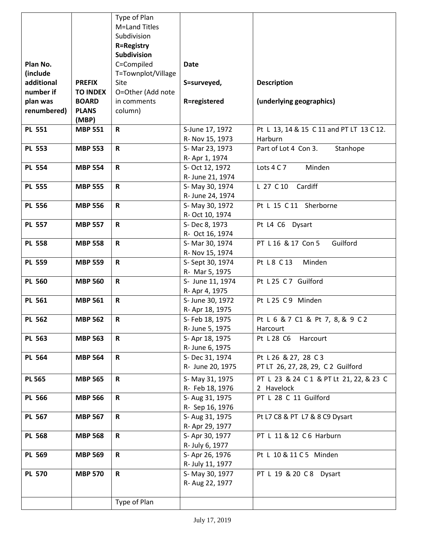|               |                 | Type of Plan       |                  |                                          |
|---------------|-----------------|--------------------|------------------|------------------------------------------|
|               |                 | M=Land Titles      |                  |                                          |
|               |                 | Subdivision        |                  |                                          |
|               |                 | <b>R=Registry</b>  |                  |                                          |
|               |                 | <b>Subdivision</b> |                  |                                          |
| Plan No.      |                 | C=Compiled         | <b>Date</b>      |                                          |
| (include      |                 | T=Townplot/Village |                  |                                          |
| additional    | <b>PREFIX</b>   | Site               | S=surveyed,      | <b>Description</b>                       |
| number if     | <b>TO INDEX</b> | O=Other (Add note  |                  |                                          |
| plan was      | <b>BOARD</b>    | in comments        | R=registered     | (underlying geographics)                 |
| renumbered)   | <b>PLANS</b>    | column)            |                  |                                          |
|               | (MBP)           |                    |                  |                                          |
| <b>PL 551</b> | <b>MBP 551</b>  | $\mathbf R$        | S-June 17, 1972  | Pt L 13, 14 & 15 C 11 and PT LT 13 C 12. |
|               |                 |                    | R- Nov 15, 1973  | Harburn                                  |
| <b>PL 553</b> | <b>MBP 553</b>  | R                  | S- Mar 23, 1973  | Part of Lot 4 Con 3.<br>Stanhope         |
|               |                 |                    | R- Apr 1, 1974   |                                          |
| <b>PL 554</b> | <b>MBP 554</b>  | $\mathbf R$        | S- Oct 12, 1972  | Lots 4 C 7<br>Minden                     |
|               |                 |                    | R- June 21, 1974 |                                          |
| <b>PL 555</b> | <b>MBP 555</b>  | $\mathbf R$        | S-May 30, 1974   | L 27 C 10<br>Cardiff                     |
|               |                 |                    | R- June 24, 1974 |                                          |
| <b>PL 556</b> | <b>MBP 556</b>  | $\mathbf R$        | S- May 30, 1972  | Pt L 15 C 11 Sherborne                   |
|               |                 |                    | R- Oct 10, 1974  |                                          |
| <b>PL 557</b> | <b>MBP 557</b>  | $\mathbf R$        | S-Dec 8, 1973    | Pt L4 C6 Dysart                          |
|               |                 |                    | R- Oct 16, 1974  |                                          |
| <b>PL 558</b> | <b>MBP 558</b>  | $\mathbf R$        | S- Mar 30, 1974  | PT L 16 & 17 Con 5<br>Guilford           |
|               |                 |                    | R- Nov 15, 1974  |                                          |
| <b>PL 559</b> | <b>MBP 559</b>  | $\mathbf R$        | S- Sept 30, 1974 | Pt L8 C 13<br>Minden                     |
|               |                 |                    | R- Mar 5, 1975   |                                          |
| <b>PL 560</b> | <b>MBP 560</b>  | $\mathbf R$        | S- June 11, 1974 | Pt L25 C7 Guilford                       |
|               |                 |                    | R- Apr 4, 1975   |                                          |
| <b>PL 561</b> | <b>MBP 561</b>  | $\mathsf R$        | S- June 30, 1972 | Pt L25 C9 Minden                         |
|               |                 |                    | R- Apr 18, 1975  |                                          |
| <b>PL 562</b> | <b>MBP 562</b>  | $\mathbf R$        | S- Feb 18, 1975  | Pt L 6 & 7 C1 & Pt 7, 8, & 9 C2          |
|               |                 |                    | R- June 5, 1975  | Harcourt                                 |
| PL 563        | <b>MBP 563</b>  | $\mathbf R$        | S- Apr 18, 1975  | Pt L 28 C6<br>Harcourt                   |
|               |                 |                    | R- June 6, 1975  |                                          |
| <b>PL 564</b> | <b>MBP 564</b>  | $\mathbf R$        | S- Dec 31, 1974  | Pt L 26 & 27, 28 C 3                     |
|               |                 |                    | R- June 20, 1975 | PT LT 26, 27, 28, 29, C 2 Guilford       |
| <b>PL 565</b> | <b>MBP 565</b>  | $\mathbf R$        | S-May 31, 1975   | PT L 23 & 24 C 1 & PT Lt 21, 22, & 23 C  |
|               |                 |                    | R- Feb 18, 1976  | 2 Havelock                               |
| <b>PL 566</b> | <b>MBP 566</b>  | $\mathbf R$        | S- Aug 31, 1975  | PT L 28 C 11 Guilford                    |
|               |                 |                    | R- Sep 16, 1976  |                                          |
| <b>PL 567</b> | <b>MBP 567</b>  | $\mathbf R$        | S- Aug 31, 1975  | Pt L7 C8 & PT L7 & 8 C9 Dysart           |
|               |                 |                    | R- Apr 29, 1977  |                                          |
| <b>PL 568</b> | <b>MBP 568</b>  | $\mathbf R$        | S-Apr 30, 1977   | PT L 11 & 12 C 6 Harburn                 |
|               |                 |                    | R- July 6, 1977  |                                          |
| <b>PL 569</b> | <b>MBP 569</b>  | $\mathbf R$        | S-Apr 26, 1976   | Pt L 10 & 11 C 5 Minden                  |
|               |                 |                    | R- July 11, 1977 |                                          |
| <b>PL 570</b> | <b>MBP 570</b>  | $\mathbf R$        | S-May 30, 1977   | PT L 19 & 20 C 8 Dysart                  |
|               |                 |                    | R- Aug 22, 1977  |                                          |
|               |                 |                    |                  |                                          |
|               |                 | Type of Plan       |                  |                                          |
|               |                 |                    |                  |                                          |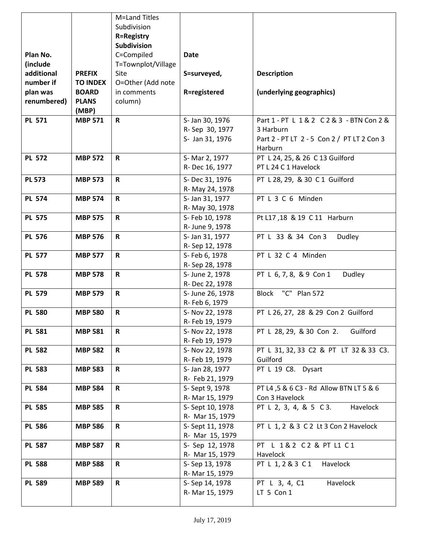|               |                 | M=Land Titles      |                  |                                            |
|---------------|-----------------|--------------------|------------------|--------------------------------------------|
|               |                 | Subdivision        |                  |                                            |
|               |                 | <b>R=Registry</b>  |                  |                                            |
|               |                 | <b>Subdivision</b> |                  |                                            |
| Plan No.      |                 | C=Compiled         | <b>Date</b>      |                                            |
| (include      |                 | T=Townplot/Village |                  |                                            |
| additional    | <b>PREFIX</b>   | Site               | S=surveyed,      | <b>Description</b>                         |
| number if     | <b>TO INDEX</b> | O=Other (Add note  |                  |                                            |
| plan was      | <b>BOARD</b>    | in comments        | R=registered     | (underlying geographics)                   |
| renumbered)   | <b>PLANS</b>    | column)            |                  |                                            |
|               | (MBP)           |                    |                  |                                            |
| <b>PL 571</b> | <b>MBP 571</b>  | $\mathsf{R}$       | S- Jan 30, 1976  | Part 1 - PT L 1 & 2 C 2 & 3 - BTN Con 2 &  |
|               |                 |                    | R-Sep 30, 1977   | 3 Harburn                                  |
|               |                 |                    | S- Jan 31, 1976  | Part 2 - PT LT 2 - 5 Con 2 / PT LT 2 Con 3 |
|               |                 |                    |                  | Harburn                                    |
| <b>PL 572</b> | <b>MBP 572</b>  | $\mathsf R$        | S- Mar 2, 1977   | PT L 24, 25, & 26 C 13 Guilford            |
|               |                 |                    | R-Dec 16, 1977   | PT L 24 C 1 Havelock                       |
| <b>PL 573</b> | <b>MBP 573</b>  | $\mathsf R$        | S-Dec 31, 1976   | PT L 28, 29, & 30 C 1 Guilford             |
|               |                 |                    | R- May 24, 1978  |                                            |
| <b>PL 574</b> | <b>MBP 574</b>  | $\mathsf R$        | S- Jan 31, 1977  | PT L 3 C 6 Minden                          |
|               |                 |                    | R- May 30, 1978  |                                            |
| <b>PL 575</b> | <b>MBP 575</b>  | $\mathbf R$        | S- Feb 10, 1978  | Pt L17,18 & 19 C 11 Harburn                |
|               |                 |                    | R- June 9, 1978  |                                            |
| <b>PL 576</b> | <b>MBP 576</b>  | $\mathsf R$        | S- Jan 31, 1977  | PT L 33 & 34 Con 3<br>Dudley               |
|               |                 |                    | R-Sep 12, 1978   |                                            |
| <b>PL 577</b> | <b>MBP 577</b>  | $\mathsf{R}$       | S- Feb 6, 1978   | PT L 32 C 4 Minden                         |
|               |                 |                    | R-Sep 28, 1978   |                                            |
| <b>PL 578</b> | <b>MBP 578</b>  | $\mathsf{R}$       | S- June 2, 1978  | PT L 6, 7, 8, & 9 Con 1<br>Dudley          |
|               |                 |                    | R-Dec 22, 1978   |                                            |
| <b>PL 579</b> | <b>MBP 579</b>  | $\mathsf R$        | S- June 26, 1978 | "C" Plan 572<br>Block                      |
|               |                 |                    | R- Feb 6, 1979   |                                            |
| <b>PL 580</b> | <b>MBP 580</b>  | $\mathsf R$        | S- Nov 22, 1978  | PT L 26, 27, 28 & 29 Con 2 Guilford        |
|               |                 |                    | R- Feb 19, 1979  |                                            |
| <b>PL 581</b> | <b>MBP 581</b>  | R                  | S- Nov 22, 1978  | PT L 28, 29, & 30 Con 2.<br>Guilford       |
|               |                 |                    | R- Feb 19, 1979  |                                            |
| <b>PL 582</b> | <b>MBP 582</b>  | R                  | S- Nov 22, 1978  | PT L 31, 32, 33 C2 & PT LT 32 & 33 C3.     |
|               |                 |                    | R- Feb 19, 1979  | Guilford                                   |
| <b>PL 583</b> | <b>MBP 583</b>  | R                  | S- Jan 28, 1977  | PT L 19 C8. Dysart                         |
|               |                 |                    | R- Feb 21, 1979  |                                            |
| <b>PL 584</b> | <b>MBP 584</b>  | $\mathsf{R}$       | S-Sept 9, 1978   | PT L4, 5 & 6 C3 - Rd Allow BTN LT 5 & 6    |
|               |                 |                    | R- Mar 15, 1979  | Con 3 Havelock                             |
| <b>PL 585</b> | <b>MBP 585</b>  | $\mathsf{R}$       | S- Sept 10, 1978 | PT L 2, 3, 4, & 5 C 3.<br>Havelock         |
|               |                 |                    | R- Mar 15, 1979  |                                            |
| <b>PL 586</b> | <b>MBP 586</b>  | R                  | S-Sept 11, 1978  | PT L 1, 2 & 3 C 2 Lt 3 Con 2 Havelock      |
|               |                 |                    | R- Mar 15, 1979  |                                            |
| <b>PL 587</b> | <b>MBP 587</b>  | $\mathsf{R}$       | S- Sep 12, 1978  | PT L 1&2 C 2 & PT L1 C 1                   |
|               |                 |                    | R- Mar 15, 1979  | Havelock                                   |
| <b>PL 588</b> | <b>MBP 588</b>  | $\mathsf{R}$       | S-Sep 13, 1978   | PT L 1, 2 & 3 C 1<br>Havelock              |
|               |                 |                    | R- Mar 15, 1979  |                                            |
| <b>PL 589</b> | <b>MBP 589</b>  | $\mathsf R$        | S-Sep 14, 1978   | PT L 3, 4, C1<br>Havelock                  |
|               |                 |                    | R- Mar 15, 1979  | LT 5 Con 1                                 |
|               |                 |                    |                  |                                            |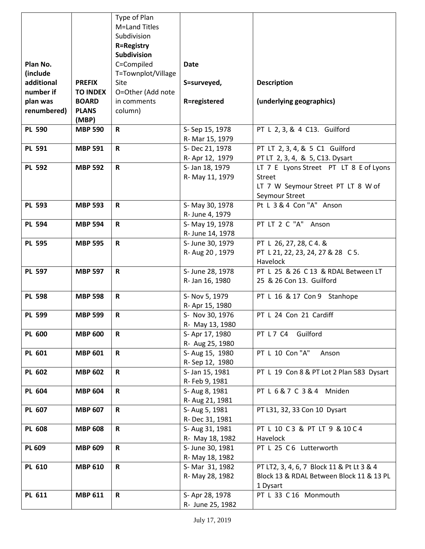|               |                 | Type of Plan       |                  |                                           |
|---------------|-----------------|--------------------|------------------|-------------------------------------------|
|               |                 | M=Land Titles      |                  |                                           |
|               |                 | Subdivision        |                  |                                           |
|               |                 | <b>R=Registry</b>  |                  |                                           |
|               |                 | Subdivision        |                  |                                           |
| Plan No.      |                 | C=Compiled         | <b>Date</b>      |                                           |
| (include      |                 | T=Townplot/Village |                  |                                           |
| additional    | <b>PREFIX</b>   | Site               | S=surveyed,      | <b>Description</b>                        |
| number if     | <b>TO INDEX</b> | O=Other (Add note  |                  |                                           |
| plan was      | <b>BOARD</b>    | in comments        | R=registered     | (underlying geographics)                  |
| renumbered)   | <b>PLANS</b>    | column)            |                  |                                           |
|               | (MBP)           |                    |                  |                                           |
| <b>PL 590</b> | <b>MBP 590</b>  | $\mathbf R$        | S-Sep 15, 1978   | PT L 2, 3, & 4 C13. Guilford              |
|               |                 |                    | R- Mar 15, 1979  |                                           |
| <b>PL 591</b> | <b>MBP 591</b>  | $\mathbf R$        | S-Dec 21, 1978   | PT LT 2, 3, 4, & 5 C1 Guilford            |
|               |                 |                    | R- Apr 12, 1979  | PT LT 2, 3, 4, & 5, C13. Dysart           |
| <b>PL 592</b> | <b>MBP 592</b>  | $\mathbf R$        | S- Jan 18, 1979  | LT 7 E Lyons Street PT LT 8 E of Lyons    |
|               |                 |                    |                  | <b>Street</b>                             |
|               |                 |                    | R- May 11, 1979  | LT 7 W Seymour Street PT LT 8 W of        |
|               |                 |                    |                  |                                           |
|               |                 |                    |                  | Seymour Street                            |
| <b>PL 593</b> | <b>MBP 593</b>  | $\mathbf R$        | S-May 30, 1978   | Pt L 3 & 4 Con "A" Anson                  |
|               |                 |                    | R- June 4, 1979  |                                           |
| <b>PL 594</b> | <b>MBP 594</b>  | $\mathbf R$        | S-May 19, 1978   | PT LT 2 C "A" Anson                       |
|               |                 |                    | R- June 14, 1978 |                                           |
| <b>PL 595</b> | <b>MBP 595</b>  | R                  | S- June 30, 1979 | PT L 26, 27, 28, C 4. &                   |
|               |                 |                    | R- Aug 20, 1979  | PT L 21, 22, 23, 24, 27 & 28 C 5.         |
|               |                 |                    |                  | Havelock                                  |
| <b>PL 597</b> | <b>MBP 597</b>  | $\mathbf R$        | S- June 28, 1978 | PT L 25 & 26 C 13 & RDAL Between LT       |
|               |                 |                    | R- Jan 16, 1980  | 25 & 26 Con 13. Guilford                  |
| <b>PL 598</b> | <b>MBP 598</b>  | $\mathbf R$        | S- Nov 5, 1979   | PT L 16 & 17 Con 9 Stanhope               |
|               |                 |                    | R- Apr 15, 1980  |                                           |
| <b>PL 599</b> | <b>MBP 599</b>  | $\mathbf R$        | S- Nov 30, 1976  | PT L 24 Con 21 Cardiff                    |
|               |                 |                    | R- May 13, 1980  |                                           |
| <b>PL 600</b> | <b>MBP 600</b>  | R                  | S- Apr 17, 1980  | PT L 7 C4 Guilford                        |
|               |                 |                    | R- Aug 25, 1980  |                                           |
|               |                 | $\mathsf{R}$       |                  | PT L 10 Con "A"                           |
| PL 601        | <b>MBP 601</b>  |                    | S-Aug 15, 1980   | Anson                                     |
|               |                 |                    | R-Sep 12, 1980   |                                           |
| PL 602        | <b>MBP 602</b>  | $\mathbf R$        | S- Jan 15, 1981  | PT L 19 Con 8 & PT Lot 2 Plan 583 Dysart  |
|               |                 |                    | R- Feb 9, 1981   |                                           |
| <b>PL 604</b> | <b>MBP 604</b>  | $\mathbf R$        | S- Aug 8, 1981   | PT L 6 & 7 C 3 & 4 Mniden                 |
|               |                 |                    | R- Aug 21, 1981  |                                           |
| PL 607        | <b>MBP 607</b>  | R                  | S- Aug 5, 1981   | PT L31, 32, 33 Con 10 Dysart              |
|               |                 |                    | R-Dec 31, 1981   |                                           |
| <b>PL 608</b> | <b>MBP 608</b>  | $\mathbf R$        | S- Aug 31, 1981  | PT L 10 C 3 & PT LT 9 & 10 C 4            |
|               |                 |                    | R- May 18, 1982  | Havelock                                  |
| <b>PL 609</b> | <b>MBP 609</b>  | $\mathbf R$        | S- June 30, 1981 | PT L 25 C 6 Lutterworth                   |
|               |                 |                    | R- May 18, 1982  |                                           |
| PL 610        | <b>MBP 610</b>  | $\mathbf R$        | S-Mar 31, 1982   | PT LT2, 3, 4, 6, 7 Block 11 & Pt Lt 3 & 4 |
|               |                 |                    | R- May 28, 1982  | Block 13 & RDAL Between Block 11 & 13 PL  |
|               |                 |                    |                  | 1 Dysart                                  |
| PL 611        | <b>MBP 611</b>  | $\mathbf R$        | S-Apr 28, 1978   | PT L 33 C 16 Monmouth                     |
|               |                 |                    | R- June 25, 1982 |                                           |